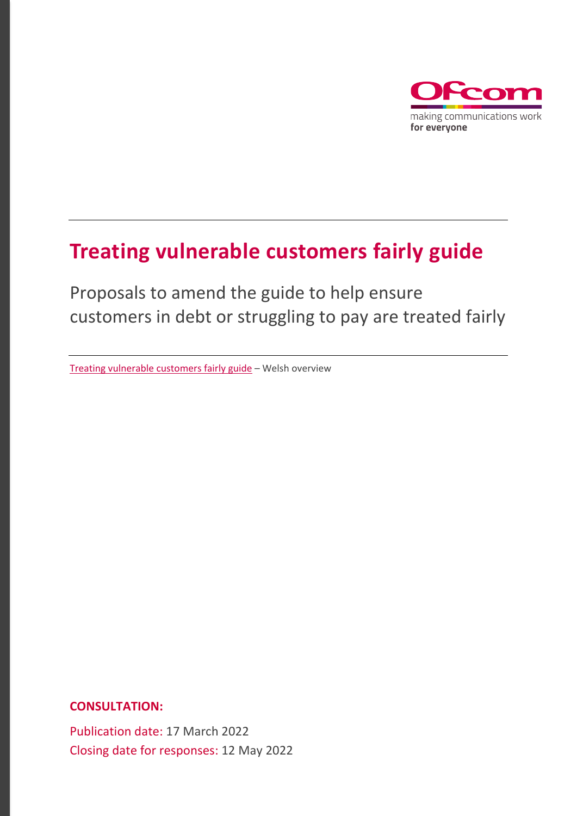

# **Treating vulnerable customers fairly guide**

Proposals to amend the guide to help ensure customers in debt or struggling to pay are treated fairly

[Treating vulnerable customers fairly guide –](https://www.ofcom.org.uk/__data/assets/pdf_file/0027/233973/Canllaw-i-drin-cwsmeriaid-agored-i-niwed-yn-deg-Trosolwg.pdf) Welsh overview

**CONSULTATION:**

Publication date: 17 March 2022 Closing date for responses: 12 May 2022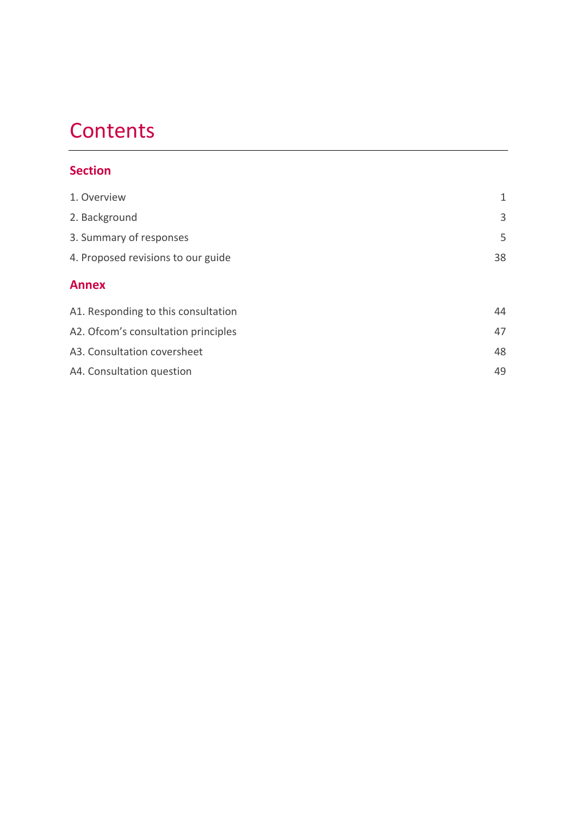# **Contents**

# **Section**

| 1. Overview                         | 1  |
|-------------------------------------|----|
| 2. Background                       | 3  |
| 3. Summary of responses             | 5  |
| 4. Proposed revisions to our guide  | 38 |
| <b>Annex</b>                        |    |
| A1. Responding to this consultation | 44 |
| A2. Ofcom's consultation principles | 47 |
| A3. Consultation coversheet         | 48 |
| A4. Consultation question           | 49 |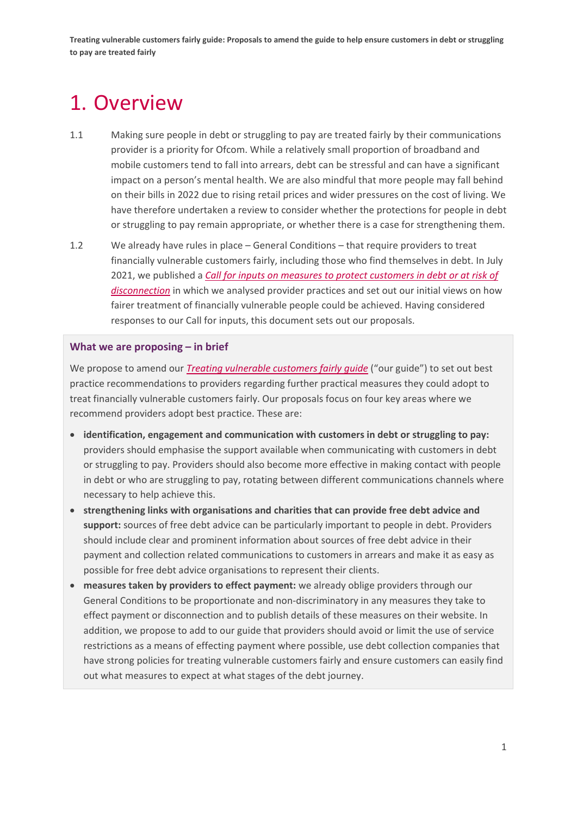# <span id="page-2-0"></span>1. Overview

- 1.1 Making sure people in debt or struggling to pay are treated fairly by their communications provider is a priority for Ofcom. While a relatively small proportion of broadband and mobile customers tend to fall into arrears, debt can be stressful and can have a significant impact on a person's mental health. We are also mindful that more people may fall behind on their bills in 2022 due to rising retail prices and wider pressures on the cost of living. We have therefore undertaken a review to consider whether the protections for people in debt or struggling to pay remain appropriate, or whether there is a case for strengthening them.
- 1.2 We already have rules in place General Conditions that require providers to treat financially vulnerable customers fairly, including those who find themselves in debt. In July 2021, we published a *Call [for inputs on measures](https://www.ofcom.org.uk/__data/assets/pdf_file/0012/222321/review-of-measures-to-protect-people-debt-or-risk-of-disconnection.pdf) to protect customers in debt or at risk of [disconnection](https://www.ofcom.org.uk/__data/assets/pdf_file/0012/222321/review-of-measures-to-protect-people-debt-or-risk-of-disconnection.pdf)* in which we analysed provider practices and set out our initial views on how fairer treatment of financially vulnerable people could be achieved. Having considered responses to our Call for inputs, this document sets out our proposals.

#### **What we are proposing – in brief**

We propose to amend our *[Treating vulnerable customers fairly guide](https://www.ofcom.org.uk/__data/assets/pdf_file/0034/198763/treating-vulnerable-customer-fairly-guide.pdf)* ("our guide") to set out best practice recommendations to providers regarding further practical measures they could adopt to treat financially vulnerable customers fairly. Our proposals focus on four key areas where we recommend providers adopt best practice. These are:

- **identification, engagement and communication with customers in debt or struggling to pay:** providers should emphasise the support available when communicating with customers in debt or struggling to pay. Providers should also become more effective in making contact with people in debt or who are struggling to pay, rotating between different communications channels where necessary to help achieve this.
- **strengthening links with organisations and charities that can provide free debt advice and support:** sources of free debt advice can be particularly important to people in debt. Providers should include clear and prominent information about sources of free debt advice in their payment and collection related communications to customers in arrears and make it as easy as possible for free debt advice organisations to represent their clients.
- **measures taken by providers to effect payment:** we already oblige providers through our General Conditions to be proportionate and non-discriminatory in any measures they take to effect payment or disconnection and to publish details of these measures on their website. In addition, we propose to add to our guide that providers should avoid or limit the use of service restrictions as a means of effecting payment where possible, use debt collection companies that have strong policies for treating vulnerable customers fairly and ensure customers can easily find out what measures to expect at what stages of the debt journey.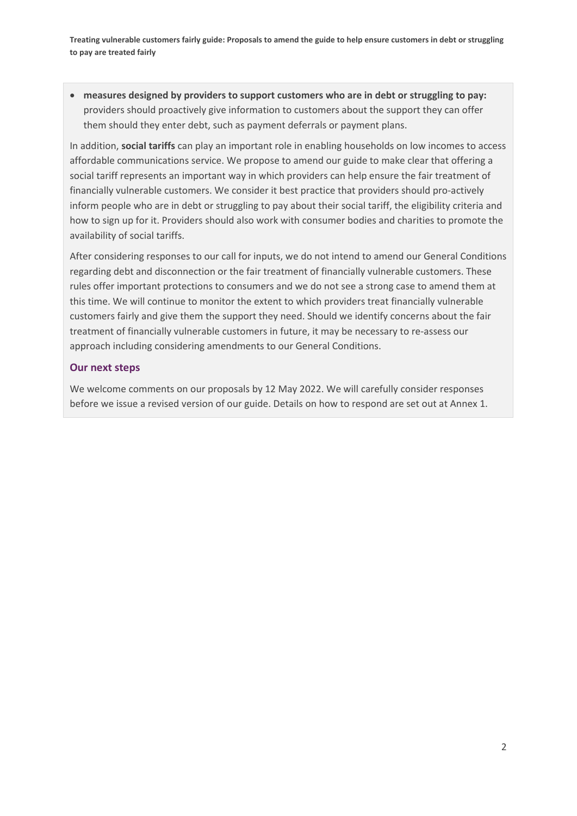• **measures designed by providers to support customers who are in debt or struggling to pay:** providers should proactively give information to customers about the support they can offer them should they enter debt, such as payment deferrals or payment plans.

In addition, **social tariffs** can play an important role in enabling households on low incomes to access affordable communications service. We propose to amend our guide to make clear that offering a social tariff represents an important way in which providers can help ensure the fair treatment of financially vulnerable customers. We consider it best practice that providers should pro-actively inform people who are in debt or struggling to pay about their social tariff, the eligibility criteria and how to sign up for it. Providers should also work with consumer bodies and charities to promote the availability of social tariffs.

After considering responses to our call for inputs, we do not intend to amend our General Conditions regarding debt and disconnection or the fair treatment of financially vulnerable customers. These rules offer important protections to consumers and we do not see a strong case to amend them at this time. We will continue to monitor the extent to which providers treat financially vulnerable customers fairly and give them the support they need. Should we identify concerns about the fair treatment of financially vulnerable customers in future, it may be necessary to re-assess our approach including considering amendments to our General Conditions.

#### **Our next steps**

We welcome comments on our proposals by 12 May 2022. We will carefully consider responses before we issue a revised version of our guide. Details on how to respond are set out at Annex 1.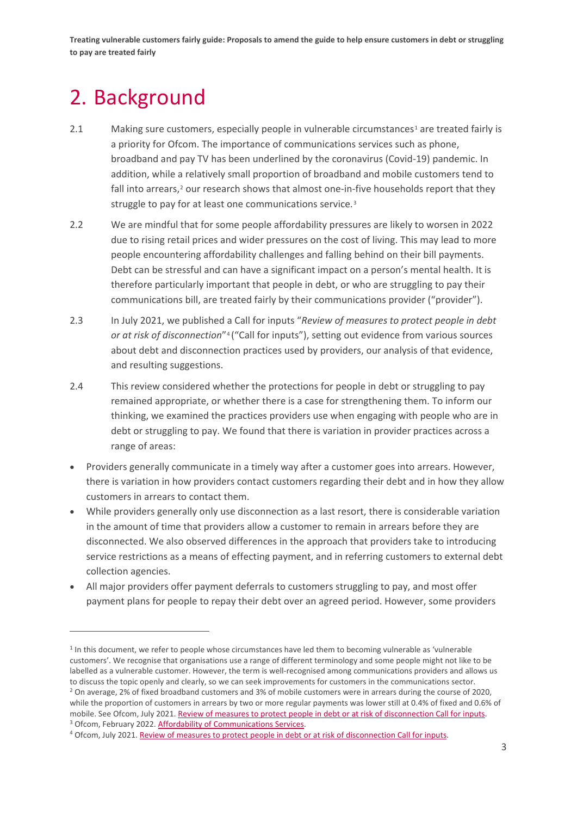# <span id="page-4-0"></span>2. Background

- 2.[1](#page-4-1) Making sure customers, especially people in vulnerable circumstances<sup>1</sup> are treated fairly is a priority for Ofcom. The importance of communications services such as phone, broadband and pay TV has been underlined by the coronavirus (Covid-19) pandemic. In addition, while a relatively small proportion of broadband and mobile customers tend to fall into arrears,<sup>[2](#page-4-2)</sup> our research shows that almost one-in-five households report that they struggle to pay for at least one communications service.[3](#page-4-3)
- 2.2 We are mindful that for some people affordability pressures are likely to worsen in 2022 due to rising retail prices and wider pressures on the cost of living. This may lead to more people encountering affordability challenges and falling behind on their bill payments. Debt can be stressful and can have a significant impact on a person's mental health. It is therefore particularly important that people in debt, or who are struggling to pay their communications bill, are treated fairly by their communications provider ("provider").
- 2.3 In July 2021, we published a Call for inputs "*Review of measures to protect people in debt or at risk of disconnection*"[4](#page-4-4) ("Call for inputs"), setting out evidence from various sources about debt and disconnection practices used by providers, our analysis of that evidence, and resulting suggestions.
- 2.4 This review considered whether the protections for people in debt or struggling to pay remained appropriate, or whether there is a case for strengthening them. To inform our thinking, we examined the practices providers use when engaging with people who are in debt or struggling to pay. We found that there is variation in provider practices across a range of areas:
- Providers generally communicate in a timely way after a customer goes into arrears. However, there is variation in how providers contact customers regarding their debt and in how they allow customers in arrears to contact them.
- While providers generally only use disconnection as a last resort, there is considerable variation in the amount of time that providers allow a customer to remain in arrears before they are disconnected. We also observed differences in the approach that providers take to introducing service restrictions as a means of effecting payment, and in referring customers to external debt collection agencies.
- All major providers offer payment deferrals to customers struggling to pay, and most offer payment plans for people to repay their debt over an agreed period. However, some providers

<span id="page-4-2"></span><span id="page-4-1"></span> $1$  In this document, we refer to people whose circumstances have led them to becoming vulnerable as 'vulnerable customers'. We recognise that organisations use a range of different terminology and some people might not like to be labelled as a vulnerable customer. However, the term is well-recognised among communications providers and allows us to discuss the topic openly and clearly, so we can seek improvements for customers in the communications sector. <sup>2</sup> On average, 2% of fixed broadband customers and 3% of mobile customers were in arrears during the course of 2020, while the proportion of customers in arrears by two or more regular payments was lower still at 0.4% of fixed and 0.6% of mobile. See Ofcom, July 2021. Review of measures to protect people in debt or at risk of disconnection Call for inputs.<br><sup>3</sup> Ofcom, February 2022. Affordability of Communications Services.

<span id="page-4-4"></span><span id="page-4-3"></span><sup>4</sup> Ofcom, July 2021[. Review of measures to protect people in debt or at risk of disconnection Call for inputs.](https://www.ofcom.org.uk/__data/assets/pdf_file/0012/222321/review-of-measures-to-protect-people-debt-or-risk-of-disconnection.pdf)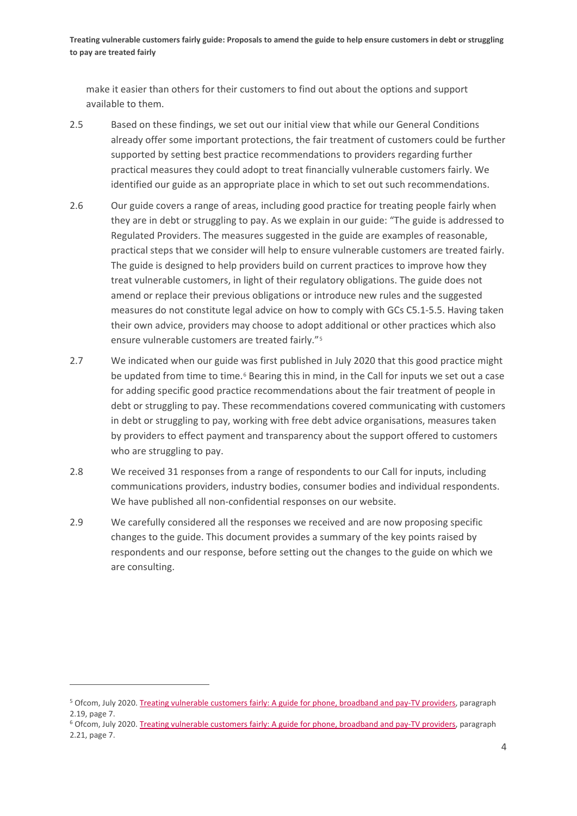make it easier than others for their customers to find out about the options and support available to them.

- 2.5 Based on these findings, we set out our initial view that while our General Conditions already offer some important protections, the fair treatment of customers could be further supported by setting best practice recommendations to providers regarding further practical measures they could adopt to treat financially vulnerable customers fairly. We identified our guide as an appropriate place in which to set out such recommendations.
- 2.6 Our guide covers a range of areas, including good practice for treating people fairly when they are in debt or struggling to pay. As we explain in our guide: "The guide is addressed to Regulated Providers. The measures suggested in the guide are examples of reasonable, practical steps that we consider will help to ensure vulnerable customers are treated fairly. The guide is designed to help providers build on current practices to improve how they treat vulnerable customers, in light of their regulatory obligations. The guide does not amend or replace their previous obligations or introduce new rules and the suggested measures do not constitute legal advice on how to comply with GCs C5.1-5.5. Having taken their own advice, providers may choose to adopt additional or other practices which also ensure vulnerable customers are treated fairly."[5](#page-5-0)
- 2.7 We indicated when our guide was first published in July 2020 that this good practice might be updated from time to time.<sup>[6](#page-5-1)</sup> Bearing this in mind, in the Call for inputs we set out a case for adding specific good practice recommendations about the fair treatment of people in debt or struggling to pay. These recommendations covered communicating with customers in debt or struggling to pay, working with free debt advice organisations, measures taken by providers to effect payment and transparency about the support offered to customers who are struggling to pay.
- 2.8 We received 31 responses from a range of respondents to our Call for inputs, including communications providers, industry bodies, consumer bodies and individual respondents. We have published all non-confidential responses on our website.
- 2.9 We carefully considered all the responses we received and are now proposing specific changes to the guide. This document provides a summary of the key points raised by respondents and our response, before setting out the changes to the guide on which we are consulting.

<span id="page-5-0"></span><sup>5</sup> Ofcom, July 2020. Treating vulnerable customers fairly: [A guide for phone, broadband and pay-TV providers,](https://www.ofcom.org.uk/__data/assets/pdf_file/0034/198763/treating-vulnerable-customer-fairly-guide.pdf) paragraph 2.19, page 7.

<span id="page-5-1"></span><sup>6</sup> Ofcom, July 2020. Treating vulnerable customers fairly: [A guide for phone, broadband and pay-TV providers,](https://www.ofcom.org.uk/__data/assets/pdf_file/0034/198763/treating-vulnerable-customer-fairly-guide.pdf) paragraph 2.21, page 7.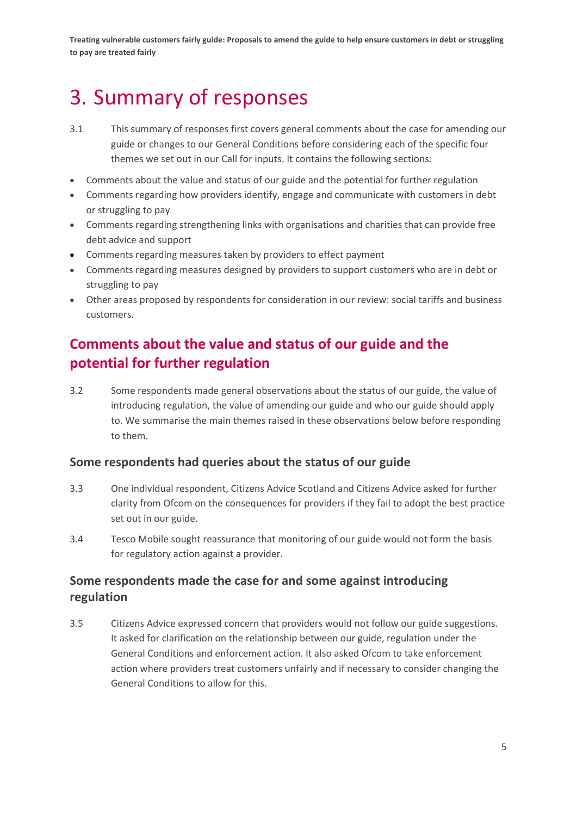# <span id="page-6-0"></span>3. Summary of responses

- 3.1 This summary of responses first covers general comments about the case for amending our guide or changes to our General Conditions before considering each of the specific four themes we set out in our Call for inputs. It contains the following sections:
- Comments about the value and status of our guide and the potential for further regulation
- Comments regarding how providers identify, engage and communicate with customers in debt or struggling to pay
- Comments regarding strengthening links with organisations and charities that can provide free debt advice and support
- Comments regarding measures taken by providers to effect payment
- Comments regarding measures designed by providers to support customers who are in debt or struggling to pay
- Other areas proposed by respondents for consideration in our review: social tariffs and business customers.

# **Comments about the value and status of our guide and the potential for further regulation**

3.2 Some respondents made general observations about the status of our guide, the value of introducing regulation, the value of amending our guide and who our guide should apply to. We summarise the main themes raised in these observations below before responding to them.

## **Some respondents had queries about the status of our guide**

- 3.3 One individual respondent, Citizens Advice Scotland and Citizens Advice asked for further clarity from Ofcom on the consequences for providers if they fail to adopt the best practice set out in our guide.
- 3.4 Tesco Mobile sought reassurance that monitoring of our guide would not form the basis for regulatory action against a provider.

## **Some respondents made the case for and some against introducing regulation**

3.5 Citizens Advice expressed concern that providers would not follow our guide suggestions. It asked for clarification on the relationship between our guide, regulation under the General Conditions and enforcement action. It also asked Ofcom to take enforcement action where providers treat customers unfairly and if necessary to consider changing the General Conditions to allow for this.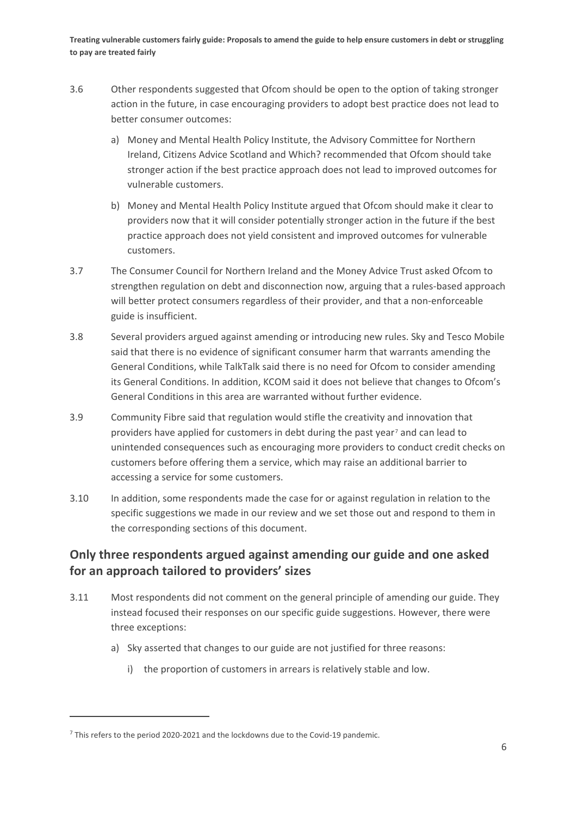- 3.6 Other respondents suggested that Ofcom should be open to the option of taking stronger action in the future, in case encouraging providers to adopt best practice does not lead to better consumer outcomes:
	- a) Money and Mental Health Policy Institute, the Advisory Committee for Northern Ireland, Citizens Advice Scotland and Which? recommended that Ofcom should take stronger action if the best practice approach does not lead to improved outcomes for vulnerable customers.
	- b) Money and Mental Health Policy Institute argued that Ofcom should make it clear to providers now that it will consider potentially stronger action in the future if the best practice approach does not yield consistent and improved outcomes for vulnerable customers.
- 3.7 The Consumer Council for Northern Ireland and the Money Advice Trust asked Ofcom to strengthen regulation on debt and disconnection now, arguing that a rules-based approach will better protect consumers regardless of their provider, and that a non-enforceable guide is insufficient.
- 3.8 Several providers argued against amending or introducing new rules. Sky and Tesco Mobile said that there is no evidence of significant consumer harm that warrants amending the General Conditions, while TalkTalk said there is no need for Ofcom to consider amending its General Conditions. In addition, KCOM said it does not believe that changes to Ofcom's General Conditions in this area are warranted without further evidence.
- 3.9 Community Fibre said that regulation would stifle the creativity and innovation that providers have applied for customers in debt during the past year[7](#page-7-0) and can lead to unintended consequences such as encouraging more providers to conduct credit checks on customers before offering them a service, which may raise an additional barrier to accessing a service for some customers.
- 3.10 In addition, some respondents made the case for or against regulation in relation to the specific suggestions we made in our review and we set those out and respond to them in the corresponding sections of this document.

## **Only three respondents argued against amending our guide and one asked for an approach tailored to providers' sizes**

- 3.11 Most respondents did not comment on the general principle of amending our guide. They instead focused their responses on our specific guide suggestions. However, there were three exceptions:
	- a) Sky asserted that changes to our guide are not justified for three reasons:
		- i) the proportion of customers in arrears is relatively stable and low.

<span id="page-7-0"></span> $<sup>7</sup>$  This refers to the period 2020-2021 and the lockdowns due to the Covid-19 pandemic.</sup>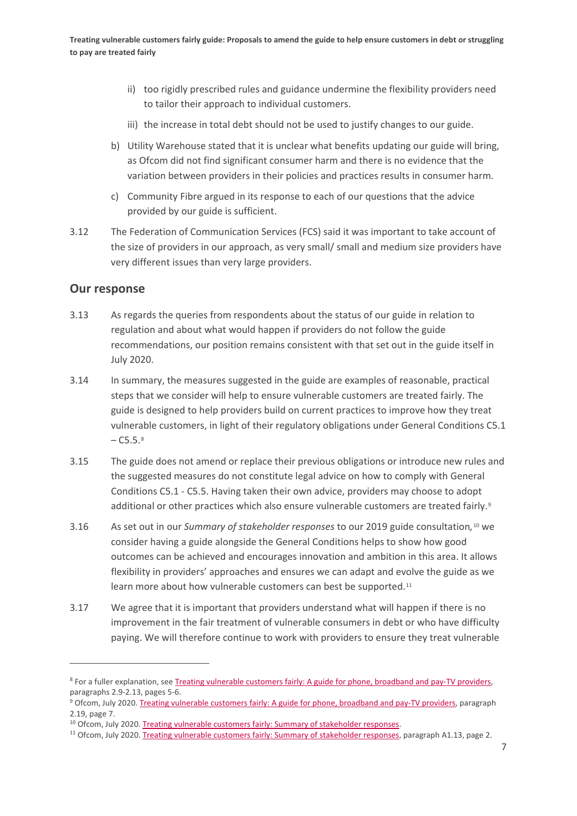- ii) too rigidly prescribed rules and guidance undermine the flexibility providers need to tailor their approach to individual customers.
- iii) the increase in total debt should not be used to justify changes to our guide.
- b) Utility Warehouse stated that it is unclear what benefits updating our guide will bring, as Ofcom did not find significant consumer harm and there is no evidence that the variation between providers in their policies and practices results in consumer harm.
- c) Community Fibre argued in its response to each of our questions that the advice provided by our guide is sufficient.
- 3.12 The Federation of Communication Services (FCS) said it was important to take account of the size of providers in our approach, as very small/ small and medium size providers have very different issues than very large providers.

## **Our response**

- 3.13 As regards the queries from respondents about the status of our guide in relation to regulation and about what would happen if providers do not follow the guide recommendations, our position remains consistent with that set out in the guide itself in July 2020.
- 3.14 In summary, the measures suggested in the guide are examples of reasonable, practical steps that we consider will help to ensure vulnerable customers are treated fairly. The guide is designed to help providers build on current practices to improve how they treat vulnerable customers, in light of their regulatory obligations under General Conditions C5.1  $- C5.5.8$  $- C5.5.8$
- 3.15 The guide does not amend or replace their previous obligations or introduce new rules and the suggested measures do not constitute legal advice on how to comply with General Conditions C5.1 - C5.5. Having taken their own advice, providers may choose to adopt additional or other practices which also ensure vulnerable customers are treated fairly.<sup>[9](#page-8-1)</sup>
- 3.16 As set out in our *Summary of stakeholder responses* to our 2019 guide consultation*,*[10](#page-8-2) we consider having a guide alongside the General Conditions helps to show how good outcomes can be achieved and encourages innovation and ambition in this area. It allows flexibility in providers' approaches and ensures we can adapt and evolve the guide as we learn more about how vulnerable customers can best be supported.<sup>[11](#page-8-3)</sup>
- 3.17 We agree that it is important that providers understand what will happen if there is no improvement in the fair treatment of vulnerable consumers in debt or who have difficulty paying. We will therefore continue to work with providers to ensure they treat vulnerable

<span id="page-8-0"></span><sup>8</sup> For a fuller explanation, see Treating vulnerable customers fairly: [A guide for phone, broadband and pay-TV providers,](https://www.ofcom.org.uk/__data/assets/pdf_file/0034/198763/treating-vulnerable-customer-fairly-guide.pdf)  paragraphs 2.9-2.13, pages 5-6.

<span id="page-8-1"></span><sup>9</sup> Ofcom, July 2020. Treating vulnerable customers fairly: [A guide for phone, broadband and pay-TV providers,](https://www.ofcom.org.uk/__data/assets/pdf_file/0034/198763/treating-vulnerable-customer-fairly-guide.pdf) paragraph 2.19, page 7.

<span id="page-8-2"></span><sup>10</sup> Ofcom, July 2020[. Treating vulnerable customers fairly: Summary of stakeholder responses.](https://www.ofcom.org.uk/__data/assets/pdf_file/0035/198764/treating-vulnerable-customer-fairly-annex.pdf)

<span id="page-8-3"></span> $11$  Ofcom, July 2020[. Treating vulnerable customers fairly: Summary of stakeholder responses,](https://www.ofcom.org.uk/__data/assets/pdf_file/0035/198764/treating-vulnerable-customer-fairly-annex.pdf) paragraph A1.13, page 2.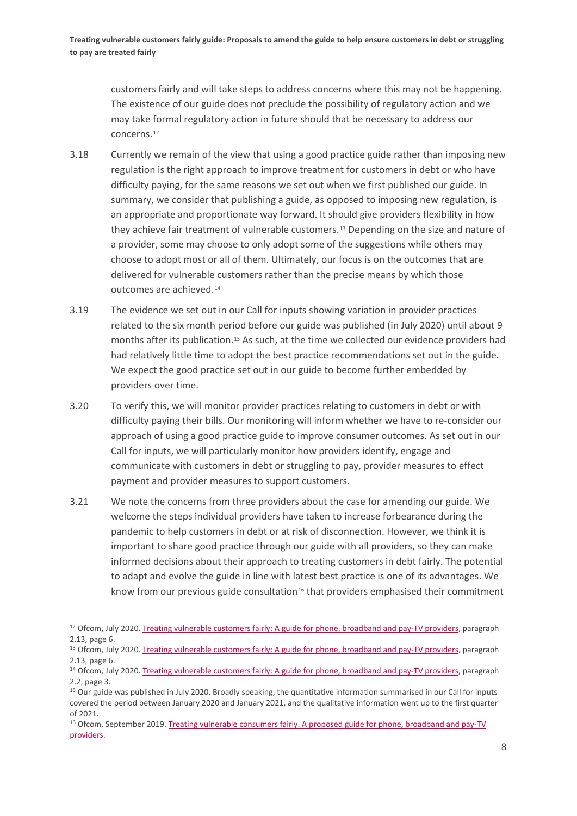customers fairly and will take steps to address concerns where this may not be happening. The existence of our guide does not preclude the possibility of regulatory action and we may take formal regulatory action in future should that be necessary to address our concerns.[12](#page-9-0)

- 3.18 Currently we remain of the view that using a good practice guide rather than imposing new regulation is the right approach to improve treatment for customers in debt or who have difficulty paying, for the same reasons we set out when we first published our guide. In summary, we consider that publishing a guide, as opposed to imposing new regulation, is an appropriate and proportionate way forward. It should give providers flexibility in how they achieve fair treatment of vulnerable customers.[13](#page-9-1) Depending on the size and nature of a provider, some may choose to only adopt some of the suggestions while others may choose to adopt most or all of them. Ultimately, our focus is on the outcomes that are delivered for vulnerable customers rather than the precise means by which those outcomes are achieved.[14](#page-9-2)
- 3.19 The evidence we set out in our Call for inputs showing variation in provider practices related to the six month period before our guide was published (in July 2020) until about 9 months after its publication.<sup>[15](#page-9-3)</sup> As such, at the time we collected our evidence providers had had relatively little time to adopt the best practice recommendations set out in the guide. We expect the good practice set out in our guide to become further embedded by providers over time.
- 3.20 To verify this, we will monitor provider practices relating to customers in debt or with difficulty paying their bills. Our monitoring will inform whether we have to re-consider our approach of using a good practice guide to improve consumer outcomes. As set out in our Call for inputs, we will particularly monitor how providers identify, engage and communicate with customers in debt or struggling to pay, provider measures to effect payment and provider measures to support customers.
- 3.21 We note the concerns from three providers about the case for amending our guide. We welcome the steps individual providers have taken to increase forbearance during the pandemic to help customers in debt or at risk of disconnection. However, we think it is important to share good practice through our guide with all providers, so they can make informed decisions about their approach to treating customers in debt fairly. The potential to adapt and evolve the guide in line with latest best practice is one of its advantages. We know from our previous guide consultation $16$  that providers emphasised their commitment

<span id="page-9-0"></span><sup>&</sup>lt;sup>12</sup> Ofcom, July 2020. Treating vulnerable customers fairly: [A guide for phone, broadband and pay-TV providers,](https://www.ofcom.org.uk/__data/assets/pdf_file/0034/198763/treating-vulnerable-customer-fairly-guide.pdf) paragraph 2.13, page 6.

<span id="page-9-1"></span><sup>&</sup>lt;sup>13</sup> Ofcom, July 2020. Treating vulnerable customers fairly: [A guide for phone, broadband and pay-TV providers,](https://www.ofcom.org.uk/__data/assets/pdf_file/0034/198763/treating-vulnerable-customer-fairly-guide.pdf) paragraph 2.13, page 6.

<span id="page-9-2"></span><sup>&</sup>lt;sup>14</sup> Ofcom, July 2020[. Treating vulnerable customers fairly: A guide for phone, broadband and pay-TV providers,](https://www.ofcom.org.uk/__data/assets/pdf_file/0034/198763/treating-vulnerable-customer-fairly-guide.pdf) paragraph 2.2, page 3.

<span id="page-9-3"></span><sup>&</sup>lt;sup>15</sup> Our guide was published in July 2020. Broadly speaking, the quantitative information summarised in our Call for inputs covered the period between January 2020 and January 2021, and the qualitative information went up to the first quarter of 2021.

<span id="page-9-4"></span><sup>&</sup>lt;sup>16</sup> Ofcom, September 2019. Treating vulnerable consumers fairly. A proposed guide for phone, broadband and pay-TV [providers.](https://www.ofcom.org.uk/__data/assets/pdf_file/0031/167746/consultation-vulnerability-guide.pdf)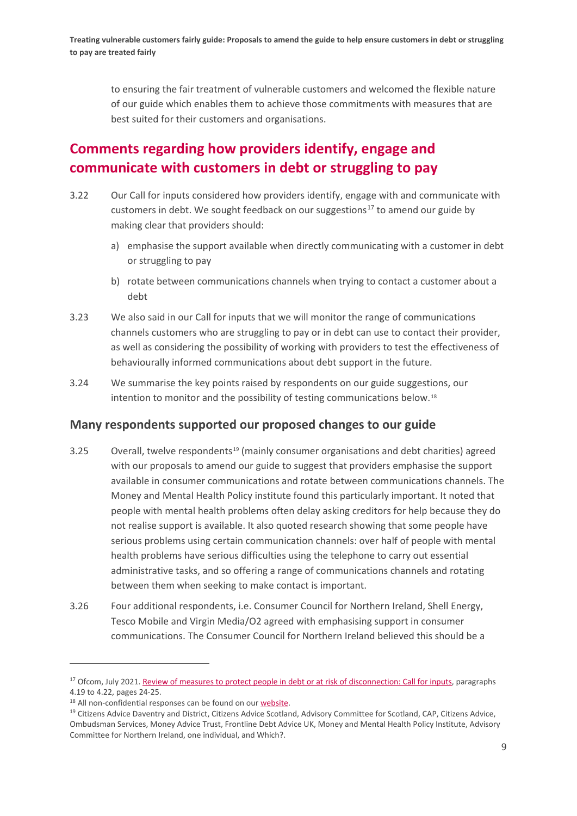to ensuring the fair treatment of vulnerable customers and welcomed the flexible nature of our guide which enables them to achieve those commitments with measures that are best suited for their customers and organisations.

# **Comments regarding how providers identify, engage and communicate with customers in debt or struggling to pay**

- 3.22 Our Call for inputs considered how providers identify, engage with and communicate with customers in debt. We sought feedback on our suggestions<sup>[17](#page-10-0)</sup> to amend our guide by making clear that providers should:
	- a) emphasise the support available when directly communicating with a customer in debt or struggling to pay
	- b) rotate between communications channels when trying to contact a customer about a debt
- 3.23 We also said in our Call for inputs that we will monitor the range of communications channels customers who are struggling to pay or in debt can use to contact their provider, as well as considering the possibility of working with providers to test the effectiveness of behaviourally informed communications about debt support in the future.
- 3.24 We summarise the key points raised by respondents on our guide suggestions, our intention to monitor and the possibility of testing communications below.[18](#page-10-1)

## **Many respondents supported our proposed changes to our guide**

- 3.25 Overall, twelve respondents<sup>[19](#page-10-2)</sup> (mainly consumer organisations and debt charities) agreed with our proposals to amend our guide to suggest that providers emphasise the support available in consumer communications and rotate between communications channels. The Money and Mental Health Policy institute found this particularly important. It noted that people with mental health problems often delay asking creditors for help because they do not realise support is available. It also quoted research showing that some people have serious problems using certain communication channels: over half of people with mental health problems have serious difficulties using the telephone to carry out essential administrative tasks, and so offering a range of communications channels and rotating between them when seeking to make contact is important.
- 3.26 Four additional respondents, i.e. Consumer Council for Northern Ireland, Shell Energy, Tesco Mobile and Virgin Media/O2 agreed with emphasising support in consumer communications. The Consumer Council for Northern Ireland believed this should be a

<span id="page-10-0"></span><sup>&</sup>lt;sup>17</sup> Ofcom, July 2021[. Review of measures to protect people in debt or at risk of disconnection: Call](https://www.ofcom.org.uk/__data/assets/pdf_file/0012/222321/review-of-measures-to-protect-people-debt-or-risk-of-disconnection.pdf) for inputs, paragraphs 4.19 to 4.22, pages 24-25.

<span id="page-10-1"></span><sup>&</sup>lt;sup>18</sup> All non-confidential responses can be found on our [website.](https://www.ofcom.org.uk/consultations-and-statements/category-1/call-for-inputs-review-of-measures-to-protect-people-in-debt-or-at-risk-of-disconnection)

<span id="page-10-2"></span><sup>&</sup>lt;sup>19</sup> Citizens Advice Daventry and District, Citizens Advice Scotland, Advisory Committee for Scotland, CAP, Citizens Advice, Ombudsman Services, Money Advice Trust, Frontline Debt Advice UK, Money and Mental Health Policy Institute, Advisory Committee for Northern Ireland, one individual, and Which?.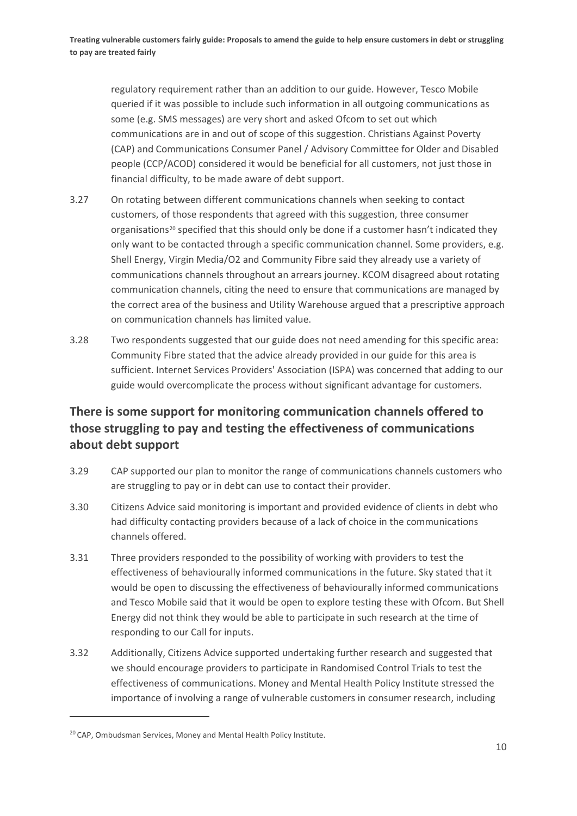regulatory requirement rather than an addition to our guide. However, Tesco Mobile queried if it was possible to include such information in all outgoing communications as some (e.g. SMS messages) are very short and asked Ofcom to set out which communications are in and out of scope of this suggestion. Christians Against Poverty (CAP) and Communications Consumer Panel / Advisory Committee for Older and Disabled people (CCP/ACOD) considered it would be beneficial for all customers, not just those in financial difficulty, to be made aware of debt support.

- 3.27 On rotating between different communications channels when seeking to contact customers, of those respondents that agreed with this suggestion, three consumer organisations<sup>[20](#page-11-0)</sup> specified that this should only be done if a customer hasn't indicated they only want to be contacted through a specific communication channel. Some providers, e.g. Shell Energy, Virgin Media/O2 and Community Fibre said they already use a variety of communications channels throughout an arrears journey. KCOM disagreed about rotating communication channels, citing the need to ensure that communications are managed by the correct area of the business and Utility Warehouse argued that a prescriptive approach on communication channels has limited value.
- 3.28 Two respondents suggested that our guide does not need amending for this specific area: Community Fibre stated that the advice already provided in our guide for this area is sufficient. Internet Services Providers' Association (ISPA) was concerned that adding to our guide would overcomplicate the process without significant advantage for customers.

## **There is some support for monitoring communication channels offered to those struggling to pay and testing the effectiveness of communications about debt support**

- 3.29 CAP supported our plan to monitor the range of communications channels customers who are struggling to pay or in debt can use to contact their provider.
- 3.30 Citizens Advice said monitoring is important and provided evidence of clients in debt who had difficulty contacting providers because of a lack of choice in the communications channels offered.
- 3.31 Three providers responded to the possibility of working with providers to test the effectiveness of behaviourally informed communications in the future. Sky stated that it would be open to discussing the effectiveness of behaviourally informed communications and Tesco Mobile said that it would be open to explore testing these with Ofcom. But Shell Energy did not think they would be able to participate in such research at the time of responding to our Call for inputs.
- 3.32 Additionally, Citizens Advice supported undertaking further research and suggested that we should encourage providers to participate in Randomised Control Trials to test the effectiveness of communications. Money and Mental Health Policy Institute stressed the importance of involving a range of vulnerable customers in consumer research, including

<span id="page-11-0"></span><sup>&</sup>lt;sup>20</sup> CAP, Ombudsman Services, Money and Mental Health Policy Institute.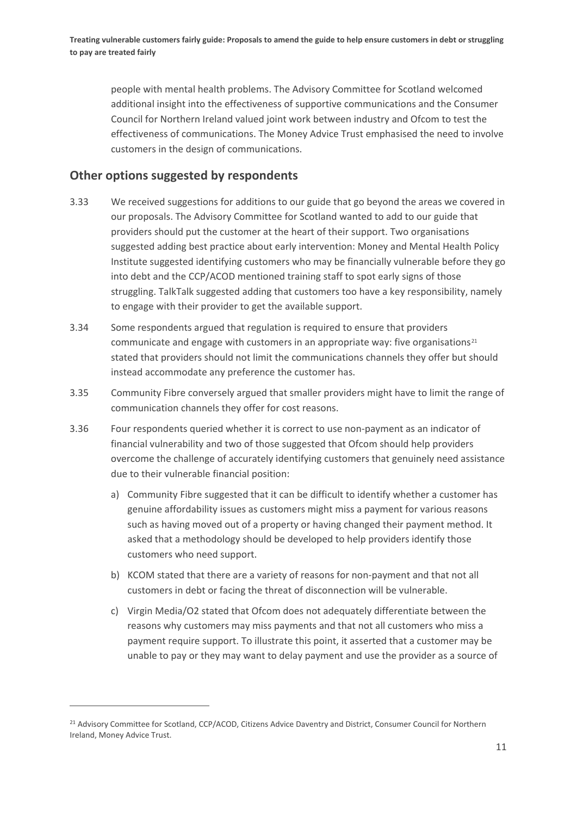people with mental health problems. The Advisory Committee for Scotland welcomed additional insight into the effectiveness of supportive communications and the Consumer Council for Northern Ireland valued joint work between industry and Ofcom to test the effectiveness of communications. The Money Advice Trust emphasised the need to involve customers in the design of communications.

## **Other options suggested by respondents**

- 3.33 We received suggestions for additions to our guide that go beyond the areas we covered in our proposals. The Advisory Committee for Scotland wanted to add to our guide that providers should put the customer at the heart of their support. Two organisations suggested adding best practice about early intervention: Money and Mental Health Policy Institute suggested identifying customers who may be financially vulnerable before they go into debt and the CCP/ACOD mentioned training staff to spot early signs of those struggling. TalkTalk suggested adding that customers too have a key responsibility, namely to engage with their provider to get the available support.
- 3.34 Some respondents argued that regulation is required to ensure that providers communicate and engage with customers in an appropriate way: five organisations<sup>[21](#page-12-0)</sup> stated that providers should not limit the communications channels they offer but should instead accommodate any preference the customer has.
- 3.35 Community Fibre conversely argued that smaller providers might have to limit the range of communication channels they offer for cost reasons.
- 3.36 Four respondents queried whether it is correct to use non-payment as an indicator of financial vulnerability and two of those suggested that Ofcom should help providers overcome the challenge of accurately identifying customers that genuinely need assistance due to their vulnerable financial position:
	- a) Community Fibre suggested that it can be difficult to identify whether a customer has genuine affordability issues as customers might miss a payment for various reasons such as having moved out of a property or having changed their payment method. It asked that a methodology should be developed to help providers identify those customers who need support.
	- b) KCOM stated that there are a variety of reasons for non-payment and that not all customers in debt or facing the threat of disconnection will be vulnerable.
	- c) Virgin Media/O2 stated that Ofcom does not adequately differentiate between the reasons why customers may miss payments and that not all customers who miss a payment require support. To illustrate this point, it asserted that a customer may be unable to pay or they may want to delay payment and use the provider as a source of

<span id="page-12-0"></span><sup>&</sup>lt;sup>21</sup> Advisory Committee for Scotland, CCP/ACOD, Citizens Advice Daventry and District, Consumer Council for Northern Ireland, Money Advice Trust.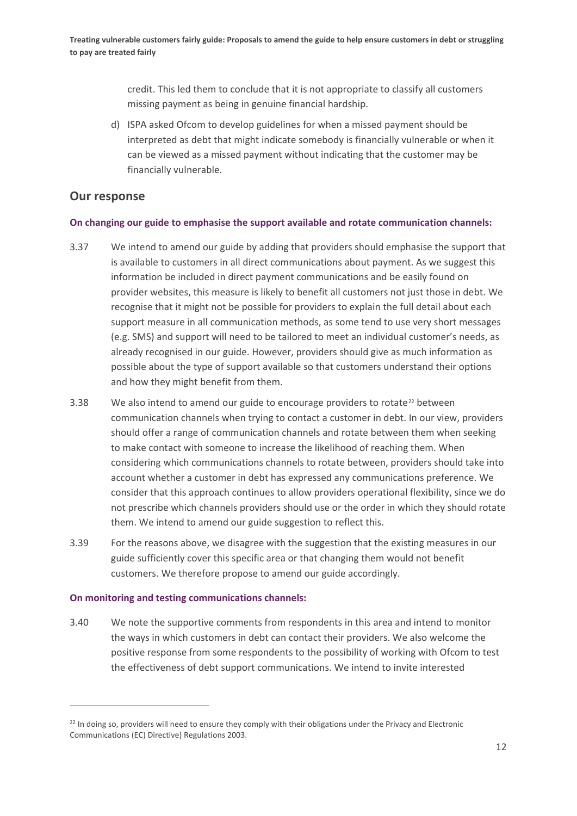credit. This led them to conclude that it is not appropriate to classify all customers missing payment as being in genuine financial hardship.

d) ISPA asked Ofcom to develop guidelines for when a missed payment should be interpreted as debt that might indicate somebody is financially vulnerable or when it can be viewed as a missed payment without indicating that the customer may be financially vulnerable.

### **Our response**

#### **On changing our guide to emphasise the support available and rotate communication channels:**

- 3.37 We intend to amend our guide by adding that providers should emphasise the support that is available to customers in all direct communications about payment. As we suggest this information be included in direct payment communications and be easily found on provider websites, this measure is likely to benefit all customers not just those in debt. We recognise that it might not be possible for providers to explain the full detail about each support measure in all communication methods, as some tend to use very short messages (e.g. SMS) and support will need to be tailored to meet an individual customer's needs, as already recognised in our guide. However, providers should give as much information as possible about the type of support available so that customers understand their options and how they might benefit from them.
- 3.38 We also intend to amend our guide to encourage providers to rotate<sup>[22](#page-13-0)</sup> between communication channels when trying to contact a customer in debt. In our view, providers should offer a range of communication channels and rotate between them when seeking to make contact with someone to increase the likelihood of reaching them. When considering which communications channels to rotate between, providers should take into account whether a customer in debt has expressed any communications preference. We consider that this approach continues to allow providers operational flexibility, since we do not prescribe which channels providers should use or the order in which they should rotate them. We intend to amend our guide suggestion to reflect this.
- 3.39 For the reasons above, we disagree with the suggestion that the existing measures in our guide sufficiently cover this specific area or that changing them would not benefit customers. We therefore propose to amend our guide accordingly.

#### **On monitoring and testing communications channels:**

3.40 We note the supportive comments from respondents in this area and intend to monitor the ways in which customers in debt can contact their providers. We also welcome the positive response from some respondents to the possibility of working with Ofcom to test the effectiveness of debt support communications. We intend to invite interested

<span id="page-13-0"></span><sup>&</sup>lt;sup>22</sup> In doing so, providers will need to ensure they comply with their obligations under the Privacy and Electronic Communications (EC) Directive) Regulations 2003.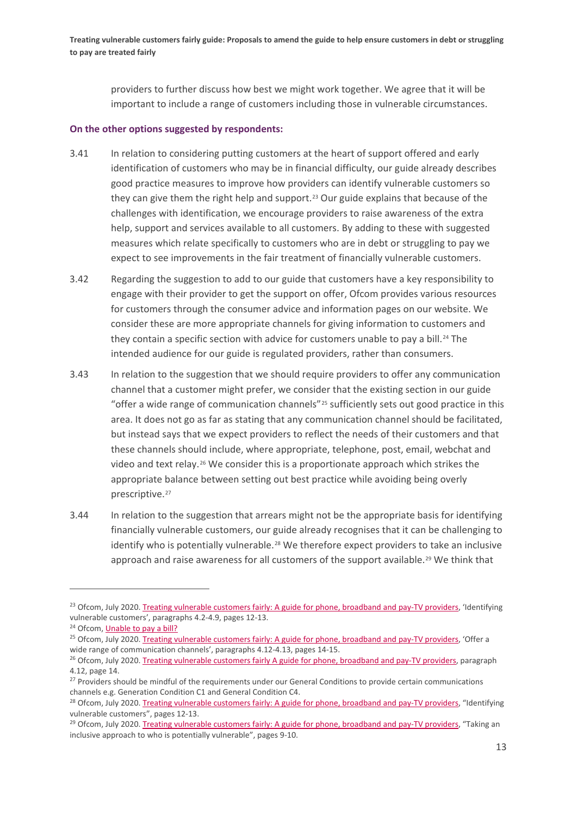providers to further discuss how best we might work together. We agree that it will be important to include a range of customers including those in vulnerable circumstances.

#### **On the other options suggested by respondents:**

- 3.41 In relation to considering putting customers at the heart of support offered and early identification of customers who may be in financial difficulty, our guide already describes good practice measures to improve how providers can identify vulnerable customers so they can give them the right help and support.<sup>[23](#page-14-0)</sup> Our guide explains that because of the challenges with identification, we encourage providers to raise awareness of the extra help, support and services available to all customers. By adding to these with suggested measures which relate specifically to customers who are in debt or struggling to pay we expect to see improvements in the fair treatment of financially vulnerable customers.
- 3.42 Regarding the suggestion to add to our guide that customers have a key responsibility to engage with their provider to get the support on offer, Ofcom provides various resources for customers through the consumer advice and information pages on our website. We consider these are more appropriate channels for giving information to customers and they contain a specific section with advice for customers unable to pay a bill.<sup>[24](#page-14-1)</sup> The intended audience for our guide is regulated providers, rather than consumers.
- 3.43 In relation to the suggestion that we should require providers to offer any communication channel that a customer might prefer, we consider that the existing section in our guide "offer a wide range of communication channels"[25](#page-14-2) sufficiently sets out good practice in this area. It does not go as far as stating that any communication channel should be facilitated, but instead says that we expect providers to reflect the needs of their customers and that these channels should include, where appropriate, telephone, post, email, webchat and video and text relay.[26](#page-14-3) We consider this is a proportionate approach which strikes the appropriate balance between setting out best practice while avoiding being overly prescriptive.<sup>[27](#page-14-4)</sup>
- 3.44 In relation to the suggestion that arrears might not be the appropriate basis for identifying financially vulnerable customers, our guide already recognises that it can be challenging to identify who is potentially vulnerable.<sup>[28](#page-14-5)</sup> We therefore expect providers to take an inclusive approach and raise awareness for all customers of the support available.<sup>[29](#page-14-6)</sup> We think that

<span id="page-14-0"></span><sup>&</sup>lt;sup>23</sup> Ofcom, July 2020. Treating vulnerable customers fairly: [A guide for phone, broadband and pay-TV providers,](https://www.ofcom.org.uk/__data/assets/pdf_file/0034/198763/treating-vulnerable-customer-fairly-guide.pdf) 'Identifying vulnerable customers', paragraphs 4.2-4.9, pages 12-13.

<span id="page-14-1"></span><sup>&</sup>lt;sup>24</sup> Ofcom, [Unable to pay a bill?](https://www.ofcom.org.uk/phones-telecoms-and-internet/advice-for-consumers/costs-and-billing/disputing-a-bill)

<span id="page-14-2"></span><sup>&</sup>lt;sup>25</sup> Ofcom, July 2020. Treating vulnerable customers fairly: [A guide for phone, broadband and pay-TV providers,](https://www.ofcom.org.uk/__data/assets/pdf_file/0034/198763/treating-vulnerable-customer-fairly-guide.pdf) 'Offer a wide range of communication channels', paragraphs 4.12-4.13, pages 14-15.

<span id="page-14-3"></span><sup>&</sup>lt;sup>26</sup> Ofcom, July 2020[. Treating vulnerable customers fairly A guide for phone, broadband and pay-TV providers,](https://www.ofcom.org.uk/__data/assets/pdf_file/0034/198763/treating-vulnerable-customer-fairly-guide.pdf) paragraph 4.12, page 14.

<span id="page-14-4"></span><sup>&</sup>lt;sup>27</sup> Providers should be mindful of the requirements under our General Conditions to provide certain communications channels e.g. Generation Condition C1 and General Condition C4.

<span id="page-14-5"></span><sup>&</sup>lt;sup>28</sup> Ofcom, July 2020[. Treating vulnerable customers fairly: A guide for phone, broadband and pay-TV providers,](https://www.ofcom.org.uk/__data/assets/pdf_file/0034/198763/treating-vulnerable-customer-fairly-guide.pdf) "Identifying vulnerable customers", pages 12-13.

<span id="page-14-6"></span><sup>&</sup>lt;sup>29</sup> Ofcom, July 2020[. Treating vulnerable customers fairly: A guide for phone, broadband and pay-TV providers,](https://www.ofcom.org.uk/__data/assets/pdf_file/0034/198763/treating-vulnerable-customer-fairly-guide.pdf) "Taking an inclusive approach to who is potentially vulnerable", pages 9-10.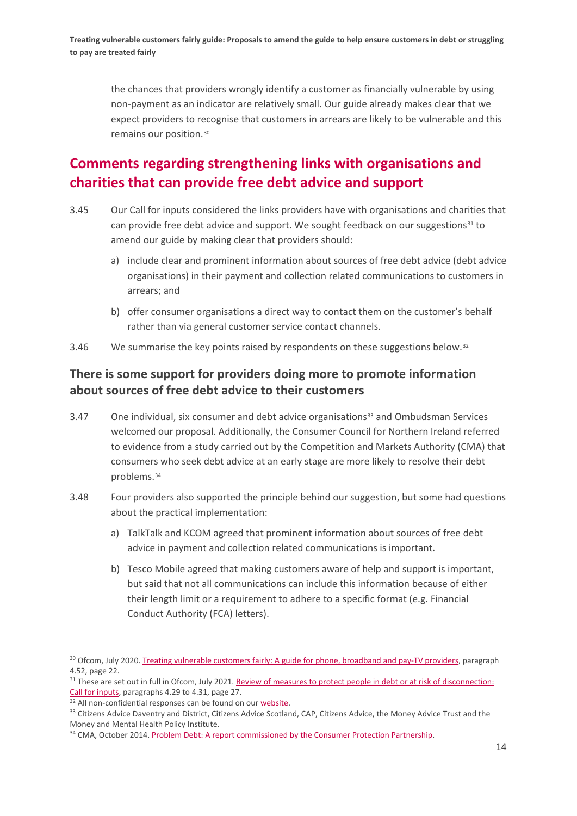the chances that providers wrongly identify a customer as financially vulnerable by using non-payment as an indicator are relatively small. Our guide already makes clear that we expect providers to recognise that customers in arrears are likely to be vulnerable and this remains our position.[30](#page-15-0)

# **Comments regarding strengthening links with organisations and charities that can provide free debt advice and support**

- 3.45 Our Call for inputs considered the links providers have with organisations and charities that can provide free debt advice and support. We sought feedback on our suggestions $31$  to amend our guide by making clear that providers should:
	- a) include clear and prominent information about sources of free debt advice (debt advice organisations) in their payment and collection related communications to customers in arrears; and
	- b) offer consumer organisations a direct way to contact them on the customer's behalf rather than via general customer service contact channels.
- 3.46 We summarise the key points raised by respondents on these suggestions below. $32$

## **There is some support for providers doing more to promote information about sources of free debt advice to their customers**

- 3.47 One individual, six consumer and debt advice organisations<sup>[33](#page-15-3)</sup> and Ombudsman Services welcomed our proposal. Additionally, the Consumer Council for Northern Ireland referred to evidence from a study carried out by the Competition and Markets Authority (CMA) that consumers who seek debt advice at an early stage are more likely to resolve their debt problems.[34](#page-15-4)
- 3.48 Four providers also supported the principle behind our suggestion, but some had questions about the practical implementation:
	- a) TalkTalk and KCOM agreed that prominent information about sources of free debt advice in payment and collection related communications is important.
	- b) Tesco Mobile agreed that making customers aware of help and support is important, but said that not all communications can include this information because of either their length limit or a requirement to adhere to a specific format (e.g. Financial Conduct Authority (FCA) letters).

<span id="page-15-0"></span><sup>&</sup>lt;sup>30</sup> Ofcom, July 2020[. Treating vulnerable customers fairly: A guide for phone, broadband and pay-TV providers,](https://www.ofcom.org.uk/__data/assets/pdf_file/0034/198763/treating-vulnerable-customer-fairly-guide.pdf) paragraph 4.52, page 22.

<span id="page-15-1"></span><sup>&</sup>lt;sup>31</sup> These are set out in full in Ofcom, July 2021. Review of measures to protect people in debt or at risk of disconnection: [Call for inputs,](https://www.ofcom.org.uk/__data/assets/pdf_file/0012/222321/review-of-measures-to-protect-people-debt-or-risk-of-disconnection.pdf) paragraphs 4.29 to 4.31, page 27.

<span id="page-15-2"></span><sup>&</sup>lt;sup>32</sup> All non-confidential responses can be found on our [website.](https://www.ofcom.org.uk/consultations-and-statements/category-1/call-for-inputs-review-of-measures-to-protect-people-in-debt-or-at-risk-of-disconnection)

<span id="page-15-3"></span><sup>&</sup>lt;sup>33</sup> Citizens Advice Daventry and District, Citizens Advice Scotland, CAP, Citizens Advice, the Money Advice Trust and the Money and Mental Health Policy Institute.

<span id="page-15-4"></span><sup>&</sup>lt;sup>34</sup> CMA, October 2014[. Problem Debt: A report commissioned by the Consumer Protection Partnership.](https://assets.publishing.service.gov.uk/government/uploads/system/uploads/attachment_data/file/362689/Problem_debt.pdf)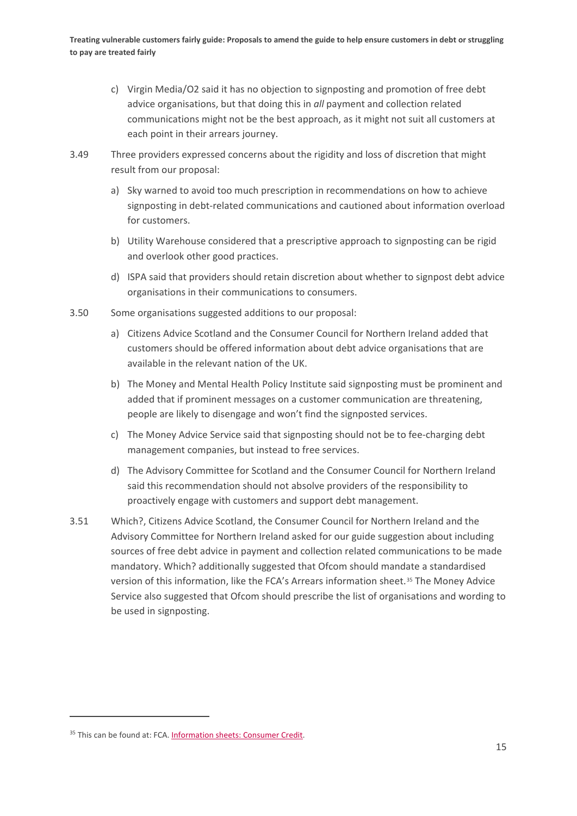- c) Virgin Media/O2 said it has no objection to signposting and promotion of free debt advice organisations, but that doing this in *all* payment and collection related communications might not be the best approach, as it might not suit all customers at each point in their arrears journey.
- 3.49 Three providers expressed concerns about the rigidity and loss of discretion that might result from our proposal:
	- a) Sky warned to avoid too much prescription in recommendations on how to achieve signposting in debt-related communications and cautioned about information overload for customers.
	- b) Utility Warehouse considered that a prescriptive approach to signposting can be rigid and overlook other good practices.
	- d) ISPA said that providers should retain discretion about whether to signpost debt advice organisations in their communications to consumers.
- 3.50 Some organisations suggested additions to our proposal:
	- a) Citizens Advice Scotland and the Consumer Council for Northern Ireland added that customers should be offered information about debt advice organisations that are available in the relevant nation of the UK.
	- b) The Money and Mental Health Policy Institute said signposting must be prominent and added that if prominent messages on a customer communication are threatening, people are likely to disengage and won't find the signposted services.
	- c) The Money Advice Service said that signposting should not be to fee-charging debt management companies, but instead to free services.
	- d) The Advisory Committee for Scotland and the Consumer Council for Northern Ireland said this recommendation should not absolve providers of the responsibility to proactively engage with customers and support debt management.
- 3.51 Which?, Citizens Advice Scotland, the Consumer Council for Northern Ireland and the Advisory Committee for Northern Ireland asked for our guide suggestion about including sources of free debt advice in payment and collection related communications to be made mandatory. Which? additionally suggested that Ofcom should mandate a standardised version of this information, like the FCA's Arrears information sheet.[35](#page-16-0) The Money Advice Service also suggested that Ofcom should prescribe the list of organisations and wording to be used in signposting.

<span id="page-16-0"></span><sup>35</sup> This can be found at: FCA. [Information sheets: Consumer Credit.](https://www.fca.org.uk/firms/information-sheets-consumer-credit)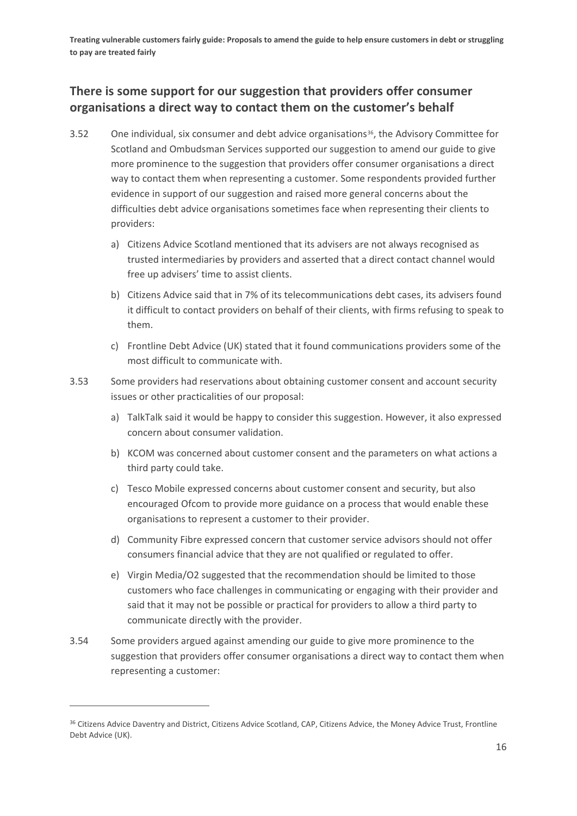## **There is some support for our suggestion that providers offer consumer organisations a direct way to contact them on the customer's behalf**

- 3.52 One individual, six consumer and debt advice organisations<sup>36</sup>, the Advisory Committee for Scotland and Ombudsman Services supported our suggestion to amend our guide to give more prominence to the suggestion that providers offer consumer organisations a direct way to contact them when representing a customer. Some respondents provided further evidence in support of our suggestion and raised more general concerns about the difficulties debt advice organisations sometimes face when representing their clients to providers:
	- a) Citizens Advice Scotland mentioned that its advisers are not always recognised as trusted intermediaries by providers and asserted that a direct contact channel would free up advisers' time to assist clients.
	- b) Citizens Advice said that in 7% of its telecommunications debt cases, its advisers found it difficult to contact providers on behalf of their clients, with firms refusing to speak to them.
	- c) Frontline Debt Advice (UK) stated that it found communications providers some of the most difficult to communicate with.
- 3.53 Some providers had reservations about obtaining customer consent and account security issues or other practicalities of our proposal:
	- a) TalkTalk said it would be happy to consider this suggestion. However, it also expressed concern about consumer validation.
	- b) KCOM was concerned about customer consent and the parameters on what actions a third party could take.
	- c) Tesco Mobile expressed concerns about customer consent and security, but also encouraged Ofcom to provide more guidance on a process that would enable these organisations to represent a customer to their provider.
	- d) Community Fibre expressed concern that customer service advisors should not offer consumers financial advice that they are not qualified or regulated to offer.
	- e) Virgin Media/O2 suggested that the recommendation should be limited to those customers who face challenges in communicating or engaging with their provider and said that it may not be possible or practical for providers to allow a third party to communicate directly with the provider.
- 3.54 Some providers argued against amending our guide to give more prominence to the suggestion that providers offer consumer organisations a direct way to contact them when representing a customer:

<span id="page-17-0"></span><sup>&</sup>lt;sup>36</sup> Citizens Advice Daventry and District, Citizens Advice Scotland, CAP, Citizens Advice, the Money Advice Trust, Frontline Debt Advice (UK).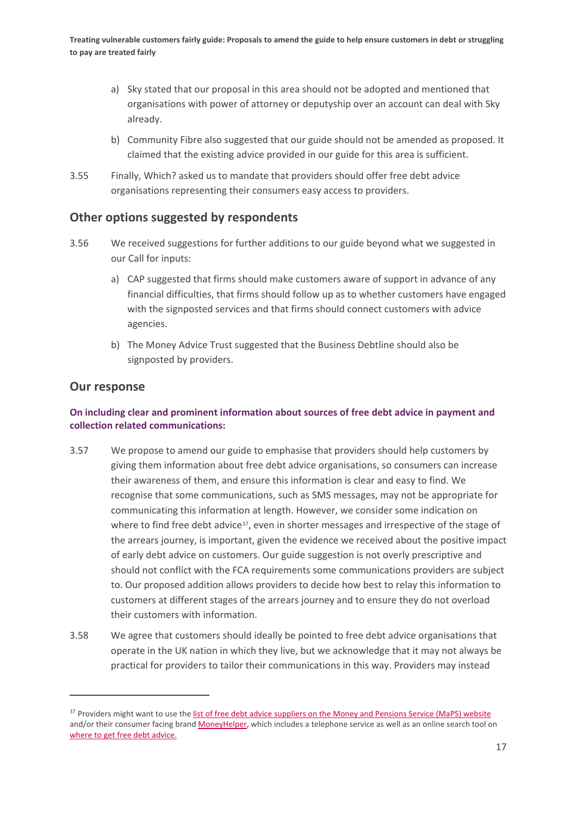- a) Sky stated that our proposal in this area should not be adopted and mentioned that organisations with power of attorney or deputyship over an account can deal with Sky already.
- b) Community Fibre also suggested that our guide should not be amended as proposed. It claimed that the existing advice provided in our guide for this area is sufficient.
- 3.55 Finally, Which? asked us to mandate that providers should offer free debt advice organisations representing their consumers easy access to providers.

## **Other options suggested by respondents**

- 3.56 We received suggestions for further additions to our guide beyond what we suggested in our Call for inputs:
	- a) CAP suggested that firms should make customers aware of support in advance of any financial difficulties, that firms should follow up as to whether customers have engaged with the signposted services and that firms should connect customers with advice agencies.
	- b) The Money Advice Trust suggested that the Business Debtline should also be signposted by providers.

### **Our response**

### **On including clear and prominent information about sources of free debt advice in payment and collection related communications:**

- 3.57 We propose to amend our guide to emphasise that providers should help customers by giving them information about free debt advice organisations, so consumers can increase their awareness of them, and ensure this information is clear and easy to find. We recognise that some communications, such as SMS messages, may not be appropriate for communicating this information at length. However, we consider some indication on where to find free debt advice<sup>[37](#page-18-0)</sup>, even in shorter messages and irrespective of the stage of the arrears journey, is important, given the evidence we received about the positive impact of early debt advice on customers. Our guide suggestion is not overly prescriptive and should not conflict with the FCA requirements some communications providers are subject to. Our proposed addition allows providers to decide how best to relay this information to customers at different stages of the arrears journey and to ensure they do not overload their customers with information.
- 3.58 We agree that customers should ideally be pointed to free debt advice organisations that operate in the UK nation in which they live, but we acknowledge that it may not always be practical for providers to tailor their communications in this way. Providers may instead

<span id="page-18-0"></span><sup>&</sup>lt;sup>37</sup> Providers might want to use th[e list of free debt advice suppliers on the Money and Pensions Service \(MaPS\) website](https://maps.org.uk/our-debt-work/debt-advice-funding/) and/or their consumer facing bran[d MoneyHelper,](https://www.moneyhelper.org.uk/en) which includes a telephone service as well as an online search tool on [where to get free debt advice.](https://www.moneyhelper.org.uk/en/money-troubles/dealing-with-debt/debt-advice-locator)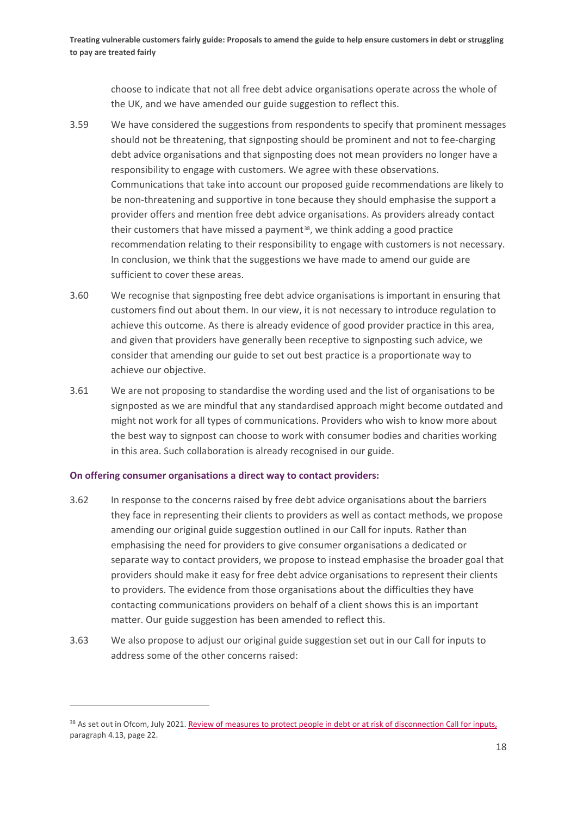choose to indicate that not all free debt advice organisations operate across the whole of the UK, and we have amended our guide suggestion to reflect this.

- 3.59 We have considered the suggestions from respondents to specify that prominent messages should not be threatening, that signposting should be prominent and not to fee-charging debt advice organisations and that signposting does not mean providers no longer have a responsibility to engage with customers. We agree with these observations. Communications that take into account our proposed guide recommendations are likely to be non-threatening and supportive in tone because they should emphasise the support a provider offers and mention free debt advice organisations. As providers already contact their customers that have missed a payment<sup>[38](#page-19-0)</sup>, we think adding a good practice recommendation relating to their responsibility to engage with customers is not necessary. In conclusion, we think that the suggestions we have made to amend our guide are sufficient to cover these areas.
- 3.60 We recognise that signposting free debt advice organisations is important in ensuring that customers find out about them. In our view, it is not necessary to introduce regulation to achieve this outcome. As there is already evidence of good provider practice in this area, and given that providers have generally been receptive to signposting such advice, we consider that amending our guide to set out best practice is a proportionate way to achieve our objective.
- 3.61 We are not proposing to standardise the wording used and the list of organisations to be signposted as we are mindful that any standardised approach might become outdated and might not work for all types of communications. Providers who wish to know more about the best way to signpost can choose to work with consumer bodies and charities working in this area. Such collaboration is already recognised in our guide.

#### **On offering consumer organisations a direct way to contact providers:**

- 3.62 In response to the concerns raised by free debt advice organisations about the barriers they face in representing their clients to providers as well as contact methods, we propose amending our original guide suggestion outlined in our Call for inputs. Rather than emphasising the need for providers to give consumer organisations a dedicated or separate way to contact providers, we propose to instead emphasise the broader goal that providers should make it easy for free debt advice organisations to represent their clients to providers. The evidence from those organisations about the difficulties they have contacting communications providers on behalf of a client shows this is an important matter. Our guide suggestion has been amended to reflect this.
- 3.63 We also propose to adjust our original guide suggestion set out in our Call for inputs to address some of the other concerns raised:

<span id="page-19-0"></span><sup>38</sup> As set out in Ofcom, July 2021[. Review of measures to protect people in debt or at risk of disconnection Call for inputs,](https://www.ofcom.org.uk/__data/assets/pdf_file/0012/222321/review-of-measures-to-protect-people-debt-or-risk-of-disconnection.pdf) paragraph 4.13, page 22.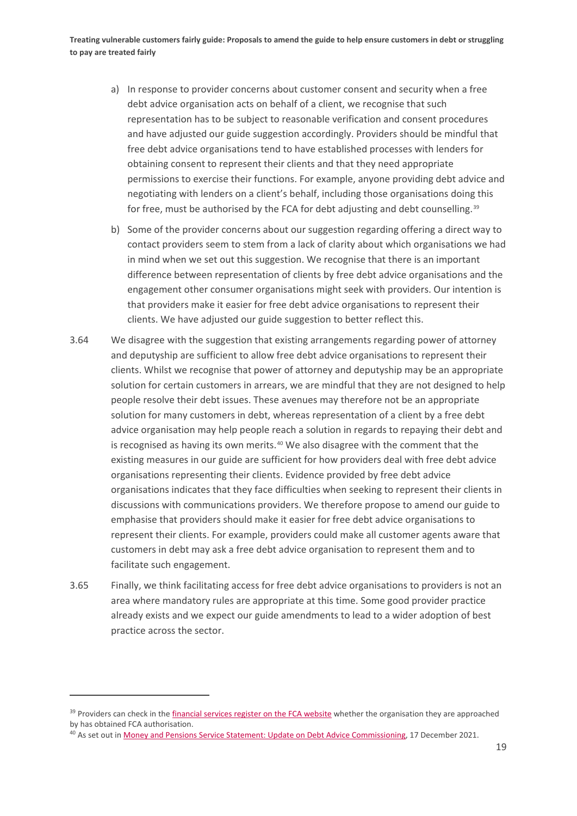- a) In response to provider concerns about customer consent and security when a free debt advice organisation acts on behalf of a client, we recognise that such representation has to be subject to reasonable verification and consent procedures and have adjusted our guide suggestion accordingly. Providers should be mindful that free debt advice organisations tend to have established processes with lenders for obtaining consent to represent their clients and that they need appropriate permissions to exercise their functions. For example, anyone providing debt advice and negotiating with lenders on a client's behalf, including those organisations doing this for free, must be authorised by the FCA for debt adjusting and debt counselling.<sup>[39](#page-20-0)</sup>
- b) Some of the provider concerns about our suggestion regarding offering a direct way to contact providers seem to stem from a lack of clarity about which organisations we had in mind when we set out this suggestion. We recognise that there is an important difference between representation of clients by free debt advice organisations and the engagement other consumer organisations might seek with providers. Our intention is that providers make it easier for free debt advice organisations to represent their clients. We have adjusted our guide suggestion to better reflect this.
- 3.64 We disagree with the suggestion that existing arrangements regarding power of attorney and deputyship are sufficient to allow free debt advice organisations to represent their clients. Whilst we recognise that power of attorney and deputyship may be an appropriate solution for certain customers in arrears, we are mindful that they are not designed to help people resolve their debt issues. These avenues may therefore not be an appropriate solution for many customers in debt, whereas representation of a client by a free debt advice organisation may help people reach a solution in regards to repaying their debt and is recognised as having its own merits.<sup>[40](#page-20-1)</sup> We also disagree with the comment that the existing measures in our guide are sufficient for how providers deal with free debt advice organisations representing their clients. Evidence provided by free debt advice organisations indicates that they face difficulties when seeking to represent their clients in discussions with communications providers. We therefore propose to amend our guide to emphasise that providers should make it easier for free debt advice organisations to represent their clients. For example, providers could make all customer agents aware that customers in debt may ask a free debt advice organisation to represent them and to facilitate such engagement.
- 3.65 Finally, we think facilitating access for free debt advice organisations to providers is not an area where mandatory rules are appropriate at this time. Some good provider practice already exists and we expect our guide amendments to lead to a wider adoption of best practice across the sector.

<span id="page-20-0"></span><sup>&</sup>lt;sup>39</sup> Providers can check in th[e financial services register on the FCA website](https://www.fca.org.uk/firms/financial-services-register) whether the organisation they are approached by has obtained FCA authorisation.

<span id="page-20-1"></span><sup>&</sup>lt;sup>40</sup> As set out i[n Money and Pensions Service Statement: Update on Debt Advice Commissioning,](https://maps.org.uk/2021/12/17/money-and-pensions-service-statement-update-on-debt-advice-commissioning/) 17 December 2021.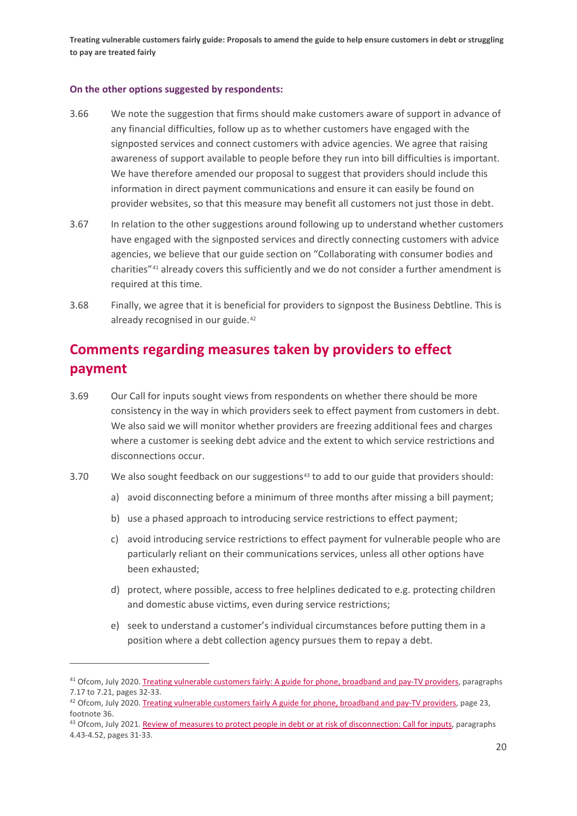#### **On the other options suggested by respondents:**

- 3.66 We note the suggestion that firms should make customers aware of support in advance of any financial difficulties, follow up as to whether customers have engaged with the signposted services and connect customers with advice agencies. We agree that raising awareness of support available to people before they run into bill difficulties is important. We have therefore amended our proposal to suggest that providers should include this information in direct payment communications and ensure it can easily be found on provider websites, so that this measure may benefit all customers not just those in debt.
- 3.67 In relation to the other suggestions around following up to understand whether customers have engaged with the signposted services and directly connecting customers with advice agencies, we believe that our guide section on "Collaborating with consumer bodies and charities"[41](#page-21-0) already covers this sufficiently and we do not consider a further amendment is required at this time.
- 3.68 Finally, we agree that it is beneficial for providers to signpost the Business Debtline. This is already recognised in our guide.<sup>[42](#page-21-1)</sup>

# **Comments regarding measures taken by providers to effect payment**

- 3.69 Our Call for inputs sought views from respondents on whether there should be more consistency in the way in which providers seek to effect payment from customers in debt. We also said we will monitor whether providers are freezing additional fees and charges where a customer is seeking debt advice and the extent to which service restrictions and disconnections occur.
- 3.70 We also sought feedback on our suggestions<sup>[43](#page-21-2)</sup> to add to our guide that providers should:
	- a) avoid disconnecting before a minimum of three months after missing a bill payment;
	- b) use a phased approach to introducing service restrictions to effect payment;
	- c) avoid introducing service restrictions to effect payment for vulnerable people who are particularly reliant on their communications services, unless all other options have been exhausted;
	- d) protect, where possible, access to free helplines dedicated to e.g. protecting children and domestic abuse victims, even during service restrictions;
	- e) seek to understand a customer's individual circumstances before putting them in a position where a debt collection agency pursues them to repay a debt.

<span id="page-21-0"></span><sup>&</sup>lt;sup>41</sup> Ofcom, July 2020. Treating vulnerable customers fairly: [A guide for phone, broadband and pay-TV providers,](https://www.ofcom.org.uk/__data/assets/pdf_file/0034/198763/treating-vulnerable-customer-fairly-guide.pdf) paragraphs 7.17 to 7.21, pages 32-33.

<span id="page-21-1"></span> $42$  Ofcom, July 2020[. Treating vulnerable customers fairly A guide for phone, broadband and pay-TV providers,](https://www.ofcom.org.uk/__data/assets/pdf_file/0034/198763/treating-vulnerable-customer-fairly-guide.pdf) page 23, footnote 36.

<span id="page-21-2"></span><sup>43</sup> Ofcom, July 2021[. Review of measures to protect people in debt or at risk of disconnection: Call for inputs,](https://www.ofcom.org.uk/__data/assets/pdf_file/0012/222321/review-of-measures-to-protect-people-debt-or-risk-of-disconnection.pdf) paragraphs 4.43-4.52, pages 31-33.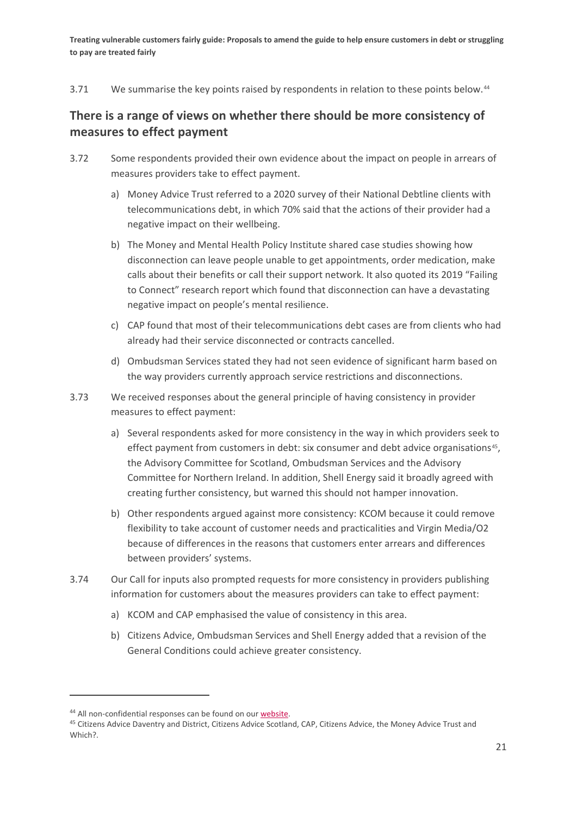3.71 We summarise the key points raised by respondents in relation to these points below.<sup>[44](#page-22-0)</sup>

## **There is a range of views on whether there should be more consistency of measures to effect payment**

- 3.72 Some respondents provided their own evidence about the impact on people in arrears of measures providers take to effect payment.
	- a) Money Advice Trust referred to a 2020 survey of their National Debtline clients with telecommunications debt, in which 70% said that the actions of their provider had a negative impact on their wellbeing.
	- b) The Money and Mental Health Policy Institute shared case studies showing how disconnection can leave people unable to get appointments, order medication, make calls about their benefits or call their support network. It also quoted its 2019 "Failing to Connect" research report which found that disconnection can have a devastating negative impact on people's mental resilience.
	- c) CAP found that most of their telecommunications debt cases are from clients who had already had their service disconnected or contracts cancelled.
	- d) Ombudsman Services stated they had not seen evidence of significant harm based on the way providers currently approach service restrictions and disconnections.
- 3.73 We received responses about the general principle of having consistency in provider measures to effect payment:
	- a) Several respondents asked for more consistency in the way in which providers seek to effect payment from customers in debt: six consumer and debt advice organisations $45$ , the Advisory Committee for Scotland, Ombudsman Services and the Advisory Committee for Northern Ireland. In addition, Shell Energy said it broadly agreed with creating further consistency, but warned this should not hamper innovation.
	- b) Other respondents argued against more consistency: KCOM because it could remove flexibility to take account of customer needs and practicalities and Virgin Media/O2 because of differences in the reasons that customers enter arrears and differences between providers' systems.
- 3.74 Our Call for inputs also prompted requests for more consistency in providers publishing information for customers about the measures providers can take to effect payment:
	- a) KCOM and CAP emphasised the value of consistency in this area.
	- b) Citizens Advice, Ombudsman Services and Shell Energy added that a revision of the General Conditions could achieve greater consistency.

<span id="page-22-0"></span><sup>&</sup>lt;sup>44</sup> All non-confidential responses can be found on our [website.](https://www.ofcom.org.uk/consultations-and-statements/category-1/call-for-inputs-review-of-measures-to-protect-people-in-debt-or-at-risk-of-disconnection)

<span id="page-22-1"></span><sup>&</sup>lt;sup>45</sup> Citizens Advice Daventry and District, Citizens Advice Scotland, CAP, Citizens Advice, the Money Advice Trust and Which?.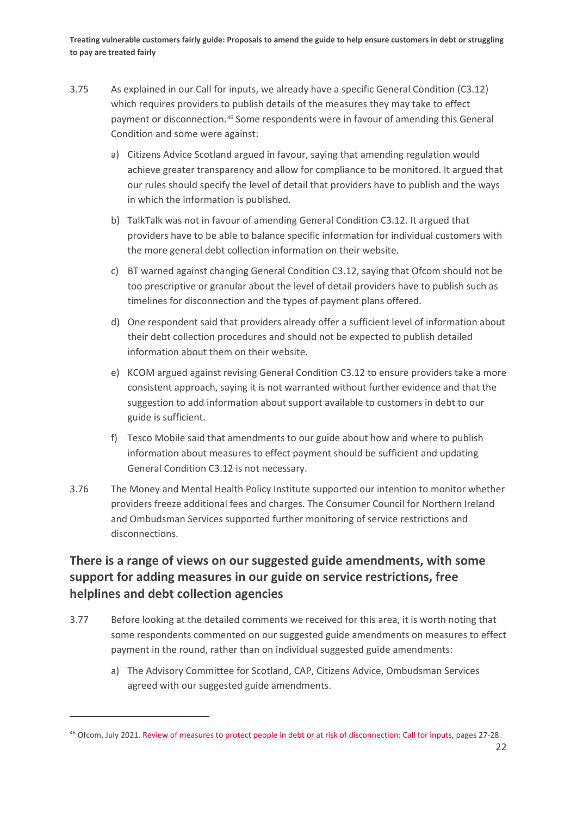- 3.75 As explained in our Call for inputs, we already have a specific General Condition (C3.12) which requires providers to publish details of the measures they may take to effect payment or disconnection.[46](#page-23-0) Some respondents were in favour of amending this General Condition and some were against:
	- a) Citizens Advice Scotland argued in favour, saying that amending regulation would achieve greater transparency and allow for compliance to be monitored. It argued that our rules should specify the level of detail that providers have to publish and the ways in which the information is published.
	- b) TalkTalk was not in favour of amending General Condition C3.12. It argued that providers have to be able to balance specific information for individual customers with the more general debt collection information on their website.
	- c) BT warned against changing General Condition C3.12, saying that Ofcom should not be too prescriptive or granular about the level of detail providers have to publish such as timelines for disconnection and the types of payment plans offered.
	- d) One respondent said that providers already offer a sufficient level of information about their debt collection procedures and should not be expected to publish detailed information about them on their website.
	- e) KCOM argued against revising General Condition C3.12 to ensure providers take a more consistent approach, saying it is not warranted without further evidence and that the suggestion to add information about support available to customers in debt to our guide is sufficient.
	- f) Tesco Mobile said that amendments to our guide about how and where to publish information about measures to effect payment should be sufficient and updating General Condition C3.12 is not necessary.
- 3.76 The Money and Mental Health Policy Institute supported our intention to monitor whether providers freeze additional fees and charges. The Consumer Council for Northern Ireland and Ombudsman Services supported further monitoring of service restrictions and disconnections.

## **There is a range of views on our suggested guide amendments, with some support for adding measures in our guide on service restrictions, free helplines and debt collection agencies**

- 3.77 Before looking at the detailed comments we received for this area, it is worth noting that some respondents commented on our suggested guide amendments on measures to effect payment in the round, rather than on individual suggested guide amendments:
	- a) The Advisory Committee for Scotland, CAP, Citizens Advice, Ombudsman Services agreed with our suggested guide amendments.

<span id="page-23-0"></span><sup>46</sup> Ofcom, July 2021[. Review of measures to protect people in debt or at risk of disconnection: Call for inputs,](https://www.ofcom.org.uk/__data/assets/pdf_file/0012/222321/review-of-measures-to-protect-people-debt-or-risk-of-disconnection.pdf) pages 27-28.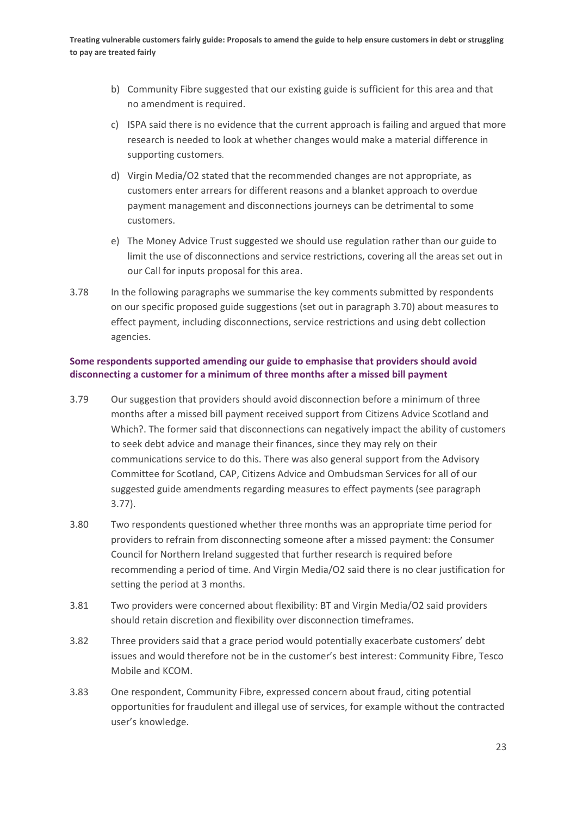- b) Community Fibre suggested that our existing guide is sufficient for this area and that no amendment is required.
- c) ISPA said there is no evidence that the current approach is failing and argued that more research is needed to look at whether changes would make a material difference in supporting customers.
- d) Virgin Media/O2 stated that the recommended changes are not appropriate, as customers enter arrears for different reasons and a blanket approach to overdue payment management and disconnections journeys can be detrimental to some customers.
- e) The Money Advice Trust suggested we should use regulation rather than our guide to limit the use of disconnections and service restrictions, covering all the areas set out in our Call for inputs proposal for this area.
- 3.78 In the following paragraphs we summarise the key comments submitted by respondents on our specific proposed guide suggestions (set out in paragraph 3.70) about measures to effect payment, including disconnections, service restrictions and using debt collection agencies.

### **Some respondents supported amending our guide to emphasise that providers should avoid disconnecting a customer for a minimum of three months after a missed bill payment**

- 3.79 Our suggestion that providers should avoid disconnection before a minimum of three months after a missed bill payment received support from Citizens Advice Scotland and Which?. The former said that disconnections can negatively impact the ability of customers to seek debt advice and manage their finances, since they may rely on their communications service to do this. There was also general support from the Advisory Committee for Scotland, CAP, Citizens Advice and Ombudsman Services for all of our suggested guide amendments regarding measures to effect payments (see paragraph 3.77).
- 3.80 Two respondents questioned whether three months was an appropriate time period for providers to refrain from disconnecting someone after a missed payment: the Consumer Council for Northern Ireland suggested that further research is required before recommending a period of time. And Virgin Media/O2 said there is no clear justification for setting the period at 3 months.
- 3.81 Two providers were concerned about flexibility: BT and Virgin Media/O2 said providers should retain discretion and flexibility over disconnection timeframes.
- 3.82 Three providers said that a grace period would potentially exacerbate customers' debt issues and would therefore not be in the customer's best interest: Community Fibre, Tesco Mobile and KCOM.
- 3.83 One respondent, Community Fibre, expressed concern about fraud, citing potential opportunities for fraudulent and illegal use of services, for example without the contracted user's knowledge.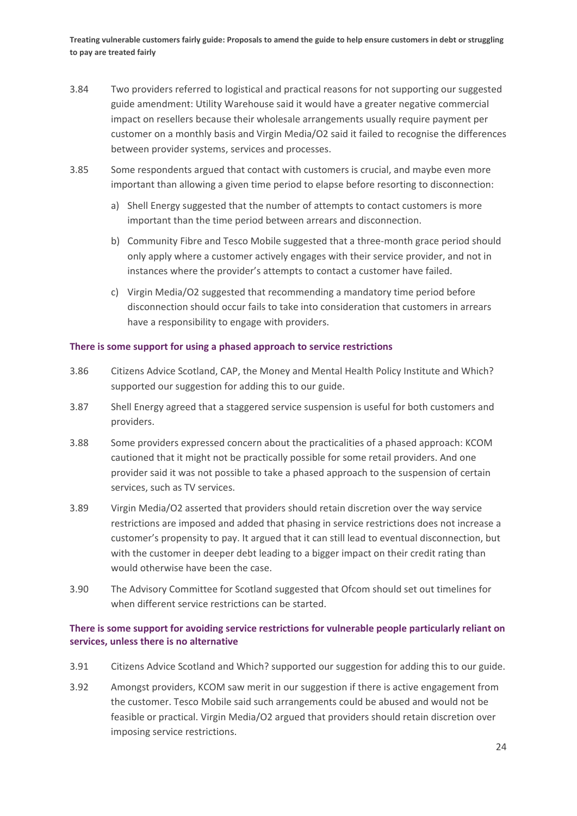- 3.84 Two providers referred to logistical and practical reasons for not supporting our suggested guide amendment: Utility Warehouse said it would have a greater negative commercial impact on resellers because their wholesale arrangements usually require payment per customer on a monthly basis and Virgin Media/O2 said it failed to recognise the differences between provider systems, services and processes.
- 3.85 Some respondents argued that contact with customers is crucial, and maybe even more important than allowing a given time period to elapse before resorting to disconnection:
	- a) Shell Energy suggested that the number of attempts to contact customers is more important than the time period between arrears and disconnection.
	- b) Community Fibre and Tesco Mobile suggested that a three-month grace period should only apply where a customer actively engages with their service provider, and not in instances where the provider's attempts to contact a customer have failed.
	- c) Virgin Media/O2 suggested that recommending a mandatory time period before disconnection should occur fails to take into consideration that customers in arrears have a responsibility to engage with providers.

#### **There is some support for using a phased approach to service restrictions**

- 3.86 Citizens Advice Scotland, CAP, the Money and Mental Health Policy Institute and Which? supported our suggestion for adding this to our guide.
- 3.87 Shell Energy agreed that a staggered service suspension is useful for both customers and providers.
- 3.88 Some providers expressed concern about the practicalities of a phased approach: KCOM cautioned that it might not be practically possible for some retail providers. And one provider said it was not possible to take a phased approach to the suspension of certain services, such as TV services.
- 3.89 Virgin Media/O2 asserted that providers should retain discretion over the way service restrictions are imposed and added that phasing in service restrictions does not increase a customer's propensity to pay. It argued that it can still lead to eventual disconnection, but with the customer in deeper debt leading to a bigger impact on their credit rating than would otherwise have been the case.
- 3.90 The Advisory Committee for Scotland suggested that Ofcom should set out timelines for when different service restrictions can be started.

### **There is some support for avoiding service restrictions for vulnerable people particularly reliant on services, unless there is no alternative**

- 3.91 Citizens Advice Scotland and Which? supported our suggestion for adding this to our guide.
- 3.92 Amongst providers, KCOM saw merit in our suggestion if there is active engagement from the customer. Tesco Mobile said such arrangements could be abused and would not be feasible or practical. Virgin Media/O2 argued that providers should retain discretion over imposing service restrictions.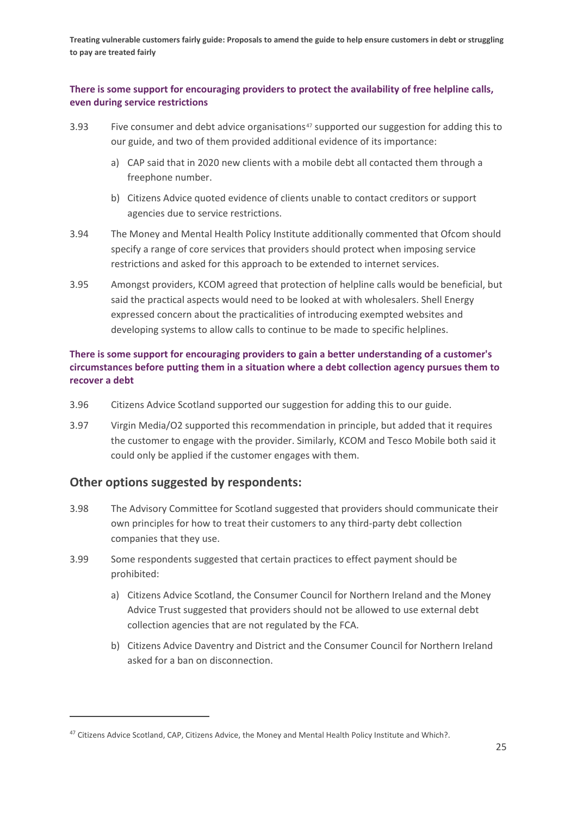#### **There is some support for encouraging providers to protect the availability of free helpline calls, even during service restrictions**

- 3.93 Five consumer and debt advice organisations<sup>[47](#page-26-0)</sup> supported our suggestion for adding this to our guide, and two of them provided additional evidence of its importance:
	- a) CAP said that in 2020 new clients with a mobile debt all contacted them through a freephone number.
	- b) Citizens Advice quoted evidence of clients unable to contact creditors or support agencies due to service restrictions.
- 3.94 The Money and Mental Health Policy Institute additionally commented that Ofcom should specify a range of core services that providers should protect when imposing service restrictions and asked for this approach to be extended to internet services.
- 3.95 Amongst providers, KCOM agreed that protection of helpline calls would be beneficial, but said the practical aspects would need to be looked at with wholesalers. Shell Energy expressed concern about the practicalities of introducing exempted websites and developing systems to allow calls to continue to be made to specific helplines.

### **There is some support for encouraging providers to gain a better understanding of a customer's circumstances before putting them in a situation where a debt collection agency pursues them to recover a debt**

- 3.96 Citizens Advice Scotland supported our suggestion for adding this to our guide.
- 3.97 Virgin Media/O2 supported this recommendation in principle, but added that it requires the customer to engage with the provider. Similarly, KCOM and Tesco Mobile both said it could only be applied if the customer engages with them.

## **Other options suggested by respondents:**

- 3.98 The Advisory Committee for Scotland suggested that providers should communicate their own principles for how to treat their customers to any third-party debt collection companies that they use.
- 3.99 Some respondents suggested that certain practices to effect payment should be prohibited:
	- a) Citizens Advice Scotland, the Consumer Council for Northern Ireland and the Money Advice Trust suggested that providers should not be allowed to use external debt collection agencies that are not regulated by the FCA.
	- b) Citizens Advice Daventry and District and the Consumer Council for Northern Ireland asked for a ban on disconnection.

<span id="page-26-0"></span><sup>&</sup>lt;sup>47</sup> Citizens Advice Scotland, CAP, Citizens Advice, the Money and Mental Health Policy Institute and Which?.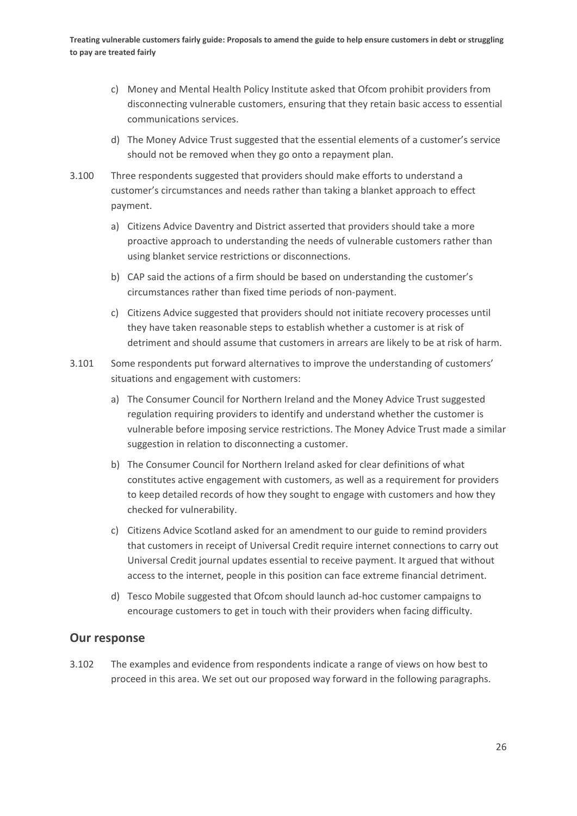- c) Money and Mental Health Policy Institute asked that Ofcom prohibit providers from disconnecting vulnerable customers, ensuring that they retain basic access to essential communications services.
- d) The Money Advice Trust suggested that the essential elements of a customer's service should not be removed when they go onto a repayment plan.
- 3.100 Three respondents suggested that providers should make efforts to understand a customer's circumstances and needs rather than taking a blanket approach to effect payment.
	- a) Citizens Advice Daventry and District asserted that providers should take a more proactive approach to understanding the needs of vulnerable customers rather than using blanket service restrictions or disconnections.
	- b) CAP said the actions of a firm should be based on understanding the customer's circumstances rather than fixed time periods of non-payment.
	- c) Citizens Advice suggested that providers should not initiate recovery processes until they have taken reasonable steps to establish whether a customer is at risk of detriment and should assume that customers in arrears are likely to be at risk of harm.
- 3.101 Some respondents put forward alternatives to improve the understanding of customers' situations and engagement with customers:
	- a) The Consumer Council for Northern Ireland and the Money Advice Trust suggested regulation requiring providers to identify and understand whether the customer is vulnerable before imposing service restrictions. The Money Advice Trust made a similar suggestion in relation to disconnecting a customer.
	- b) The Consumer Council for Northern Ireland asked for clear definitions of what constitutes active engagement with customers, as well as a requirement for providers to keep detailed records of how they sought to engage with customers and how they checked for vulnerability.
	- c) Citizens Advice Scotland asked for an amendment to our guide to remind providers that customers in receipt of Universal Credit require internet connections to carry out Universal Credit journal updates essential to receive payment. It argued that without access to the internet, people in this position can face extreme financial detriment.
	- d) Tesco Mobile suggested that Ofcom should launch ad-hoc customer campaigns to encourage customers to get in touch with their providers when facing difficulty.

## **Our response**

3.102 The examples and evidence from respondents indicate a range of views on how best to proceed in this area. We set out our proposed way forward in the following paragraphs.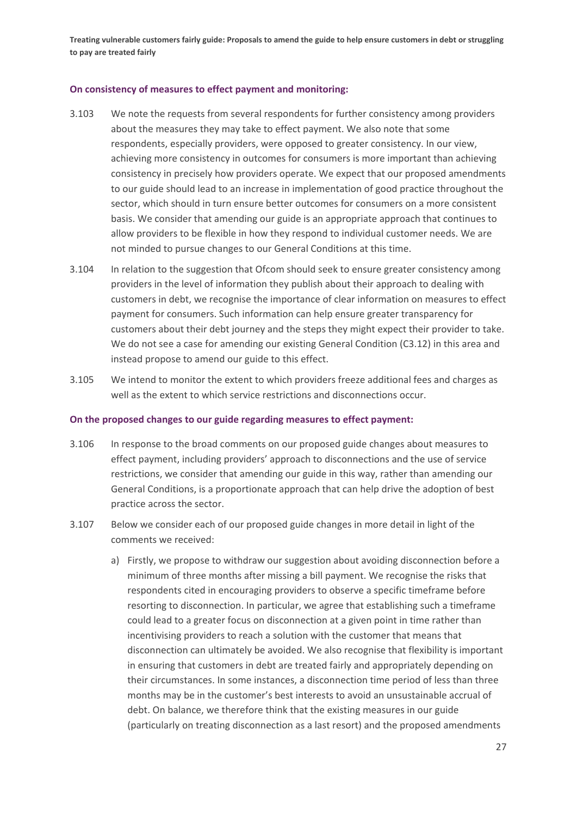#### **On consistency of measures to effect payment and monitoring:**

- 3.103 We note the requests from several respondents for further consistency among providers about the measures they may take to effect payment. We also note that some respondents, especially providers, were opposed to greater consistency. In our view, achieving more consistency in outcomes for consumers is more important than achieving consistency in precisely how providers operate. We expect that our proposed amendments to our guide should lead to an increase in implementation of good practice throughout the sector, which should in turn ensure better outcomes for consumers on a more consistent basis. We consider that amending our guide is an appropriate approach that continues to allow providers to be flexible in how they respond to individual customer needs. We are not minded to pursue changes to our General Conditions at this time.
- 3.104 In relation to the suggestion that Ofcom should seek to ensure greater consistency among providers in the level of information they publish about their approach to dealing with customers in debt, we recognise the importance of clear information on measures to effect payment for consumers. Such information can help ensure greater transparency for customers about their debt journey and the steps they might expect their provider to take. We do not see a case for amending our existing General Condition (C3.12) in this area and instead propose to amend our guide to this effect.
- 3.105 We intend to monitor the extent to which providers freeze additional fees and charges as well as the extent to which service restrictions and disconnections occur.

#### **On the proposed changes to our guide regarding measures to effect payment:**

- 3.106 In response to the broad comments on our proposed guide changes about measures to effect payment, including providers' approach to disconnections and the use of service restrictions, we consider that amending our guide in this way, rather than amending our General Conditions, is a proportionate approach that can help drive the adoption of best practice across the sector.
- 3.107 Below we consider each of our proposed guide changes in more detail in light of the comments we received:
	- a) Firstly, we propose to withdraw our suggestion about avoiding disconnection before a minimum of three months after missing a bill payment. We recognise the risks that respondents cited in encouraging providers to observe a specific timeframe before resorting to disconnection. In particular, we agree that establishing such a timeframe could lead to a greater focus on disconnection at a given point in time rather than incentivising providers to reach a solution with the customer that means that disconnection can ultimately be avoided. We also recognise that flexibility is important in ensuring that customers in debt are treated fairly and appropriately depending on their circumstances. In some instances, a disconnection time period of less than three months may be in the customer's best interests to avoid an unsustainable accrual of debt. On balance, we therefore think that the existing measures in our guide (particularly on treating disconnection as a last resort) and the proposed amendments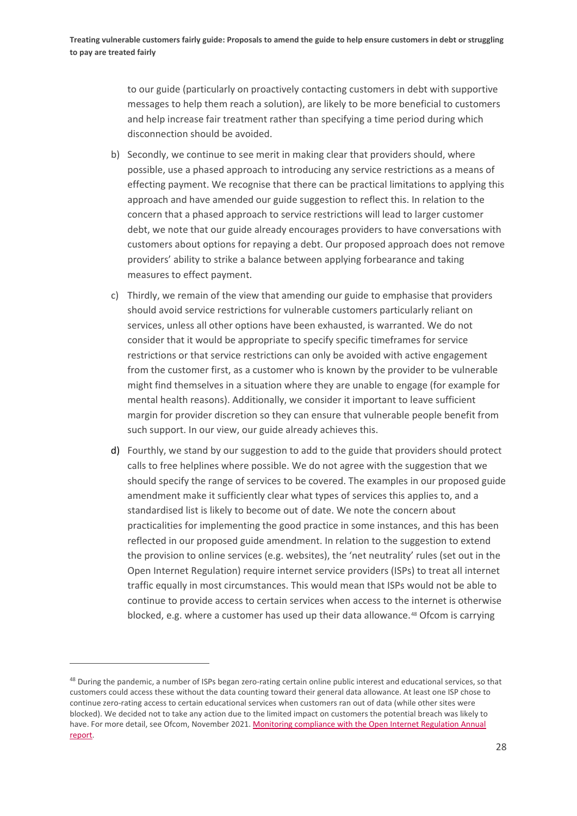to our guide (particularly on proactively contacting customers in debt with supportive messages to help them reach a solution), are likely to be more beneficial to customers and help increase fair treatment rather than specifying a time period during which disconnection should be avoided.

- b) Secondly, we continue to see merit in making clear that providers should, where possible, use a phased approach to introducing any service restrictions as a means of effecting payment. We recognise that there can be practical limitations to applying this approach and have amended our guide suggestion to reflect this. In relation to the concern that a phased approach to service restrictions will lead to larger customer debt, we note that our guide already encourages providers to have conversations with customers about options for repaying a debt. Our proposed approach does not remove providers' ability to strike a balance between applying forbearance and taking measures to effect payment.
- c) Thirdly, we remain of the view that amending our guide to emphasise that providers should avoid service restrictions for vulnerable customers particularly reliant on services, unless all other options have been exhausted, is warranted. We do not consider that it would be appropriate to specify specific timeframes for service restrictions or that service restrictions can only be avoided with active engagement from the customer first, as a customer who is known by the provider to be vulnerable might find themselves in a situation where they are unable to engage (for example for mental health reasons). Additionally, we consider it important to leave sufficient margin for provider discretion so they can ensure that vulnerable people benefit from such support. In our view, our guide already achieves this.
- d) Fourthly, we stand by our suggestion to add to the guide that providers should protect calls to free helplines where possible. We do not agree with the suggestion that we should specify the range of services to be covered. The examples in our proposed guide amendment make it sufficiently clear what types of services this applies to, and a standardised list is likely to become out of date. We note the concern about practicalities for implementing the good practice in some instances, and this has been reflected in our proposed guide amendment. In relation to the suggestion to extend the provision to online services (e.g. websites), the 'net neutrality' rules (set out in the Open Internet Regulation) require internet service providers (ISPs) to treat all internet traffic equally in most circumstances. This would mean that ISPs would not be able to continue to provide access to certain services when access to the internet is otherwise blocked, e.g. where a customer has used up their data allowance.<sup>[48](#page-29-0)</sup> Ofcom is carrying

<span id="page-29-0"></span><sup>&</sup>lt;sup>48</sup> During the pandemic, a number of ISPs began zero-rating certain online public interest and educational services, so that customers could access these without the data counting toward their general data allowance. At least one ISP chose to continue zero-rating access to certain educational services when customers ran out of data (while other sites were blocked). We decided not to take any action due to the limited impact on customers the potential breach was likely to have. For more detail, see Ofcom, November 2021. Monitoring compliance with the Open Internet Regulation Annual [report.](https://www.ofcom.org.uk/__data/assets/pdf_file/0028/227485/Monitoring-compliance-with-the-EU-Open-Internet-Regulation_2021.pdf)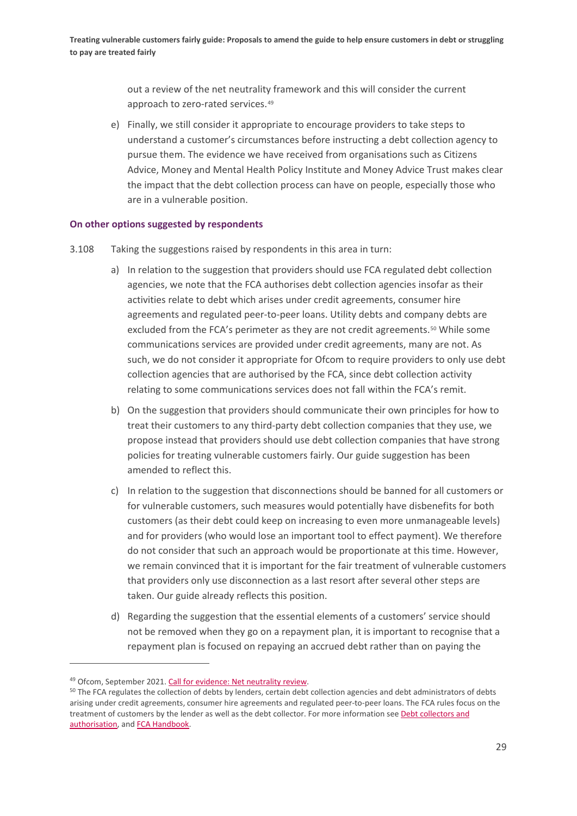out a review of the net neutrality framework and this will consider the current approach to zero-rated services.<sup>[49](#page-30-0)</sup>

e) Finally, we still consider it appropriate to encourage providers to take steps to understand a customer's circumstances before instructing a debt collection agency to pursue them. The evidence we have received from organisations such as Citizens Advice, Money and Mental Health Policy Institute and Money Advice Trust makes clear the impact that the debt collection process can have on people, especially those who are in a vulnerable position.

#### **On other options suggested by respondents**

- 3.108 Taking the suggestions raised by respondents in this area in turn:
	- a) In relation to the suggestion that providers should use FCA regulated debt collection agencies, we note that the FCA authorises debt collection agencies insofar as their activities relate to debt which arises under credit agreements, consumer hire agreements and regulated peer-to-peer loans. Utility debts and company debts are excluded from the FCA's perimeter as they are not credit agreements.<sup>[50](#page-30-1)</sup> While some communications services are provided under credit agreements, many are not. As such, we do not consider it appropriate for Ofcom to require providers to only use debt collection agencies that are authorised by the FCA, since debt collection activity relating to some communications services does not fall within the FCA's remit.
	- b) On the suggestion that providers should communicate their own principles for how to treat their customers to any third-party debt collection companies that they use, we propose instead that providers should use debt collection companies that have strong policies for treating vulnerable customers fairly. Our guide suggestion has been amended to reflect this.
	- c) In relation to the suggestion that disconnections should be banned for all customers or for vulnerable customers, such measures would potentially have disbenefits for both customers (as their debt could keep on increasing to even more unmanageable levels) and for providers (who would lose an important tool to effect payment). We therefore do not consider that such an approach would be proportionate at this time. However, we remain convinced that it is important for the fair treatment of vulnerable customers that providers only use disconnection as a last resort after several other steps are taken. Our guide already reflects this position.
	- d) Regarding the suggestion that the essential elements of a customers' service should not be removed when they go on a repayment plan, it is important to recognise that a repayment plan is focused on repaying an accrued debt rather than on paying the

<span id="page-30-0"></span><sup>49</sup> Ofcom, September 2021. [Call for evidence: Net neutrality review.](https://www.ofcom.org.uk/consultations-and-statements/category-2/call-for-evidence-net-neutrality-review?showall=1)

<span id="page-30-1"></span><sup>&</sup>lt;sup>50</sup> The FCA regulates the collection of debts by lenders, certain debt collection agencies and debt administrators of debts arising under credit agreements, consumer hire agreements and regulated peer-to-peer loans. The FCA rules focus on the treatment of customers by the lender as well as the debt collector. For more information se[e Debt collectors and](https://www.fca.org.uk/firms/authorisation/process/debt-collectors)  [authorisation,](https://www.fca.org.uk/firms/authorisation/process/debt-collectors) an[d FCA Handbook.](https://www.handbook.fca.org.uk/handbook/CONC/7/?view=chapter)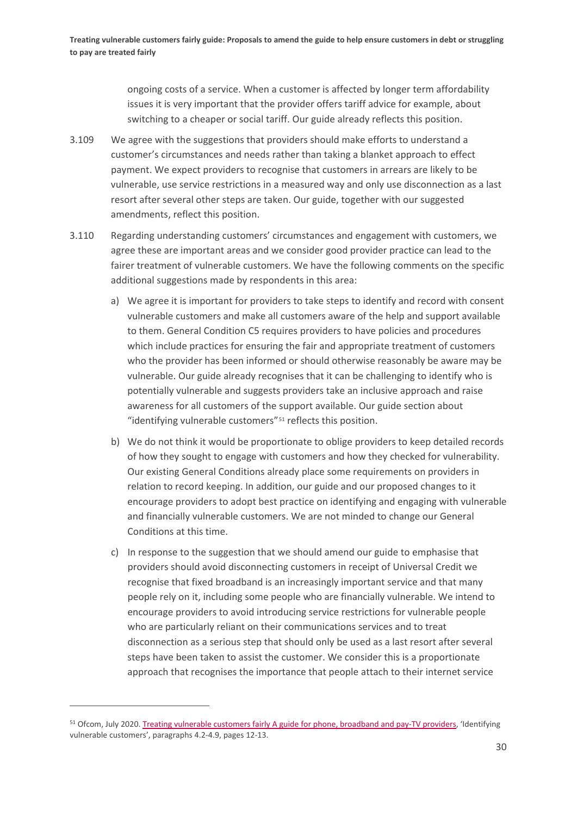ongoing costs of a service. When a customer is affected by longer term affordability issues it is very important that the provider offers tariff advice for example, about switching to a cheaper or social tariff. Our guide already reflects this position.

- 3.109 We agree with the suggestions that providers should make efforts to understand a customer's circumstances and needs rather than taking a blanket approach to effect payment. We expect providers to recognise that customers in arrears are likely to be vulnerable, use service restrictions in a measured way and only use disconnection as a last resort after several other steps are taken. Our guide, together with our suggested amendments, reflect this position.
- 3.110 Regarding understanding customers' circumstances and engagement with customers, we agree these are important areas and we consider good provider practice can lead to the fairer treatment of vulnerable customers. We have the following comments on the specific additional suggestions made by respondents in this area:
	- a) We agree it is important for providers to take steps to identify and record with consent vulnerable customers and make all customers aware of the help and support available to them. General Condition C5 requires providers to have policies and procedures which include practices for ensuring the fair and appropriate treatment of customers who the provider has been informed or should otherwise reasonably be aware may be vulnerable. Our guide already recognises that it can be challenging to identify who is potentially vulnerable and suggests providers take an inclusive approach and raise awareness for all customers of the support available. Our guide section about "identifying vulnerable customers"[51](#page-31-0) reflects this position.
	- b) We do not think it would be proportionate to oblige providers to keep detailed records of how they sought to engage with customers and how they checked for vulnerability. Our existing General Conditions already place some requirements on providers in relation to record keeping. In addition, our guide and our proposed changes to it encourage providers to adopt best practice on identifying and engaging with vulnerable and financially vulnerable customers. We are not minded to change our General Conditions at this time.
	- c) In response to the suggestion that we should amend our guide to emphasise that providers should avoid disconnecting customers in receipt of Universal Credit we recognise that fixed broadband is an increasingly important service and that many people rely on it, including some people who are financially vulnerable. We intend to encourage providers to avoid introducing service restrictions for vulnerable people who are particularly reliant on their communications services and to treat disconnection as a serious step that should only be used as a last resort after several steps have been taken to assist the customer. We consider this is a proportionate approach that recognises the importance that people attach to their internet service

<span id="page-31-0"></span><sup>&</sup>lt;sup>51</sup> Ofcom, July 2020[. Treating vulnerable customers fairly A guide for phone, broadband and pay-TV providers,](https://www.ofcom.org.uk/__data/assets/pdf_file/0034/198763/treating-vulnerable-customer-fairly-guide.pdf) 'Identifying vulnerable customers', paragraphs 4.2-4.9, pages 12-13.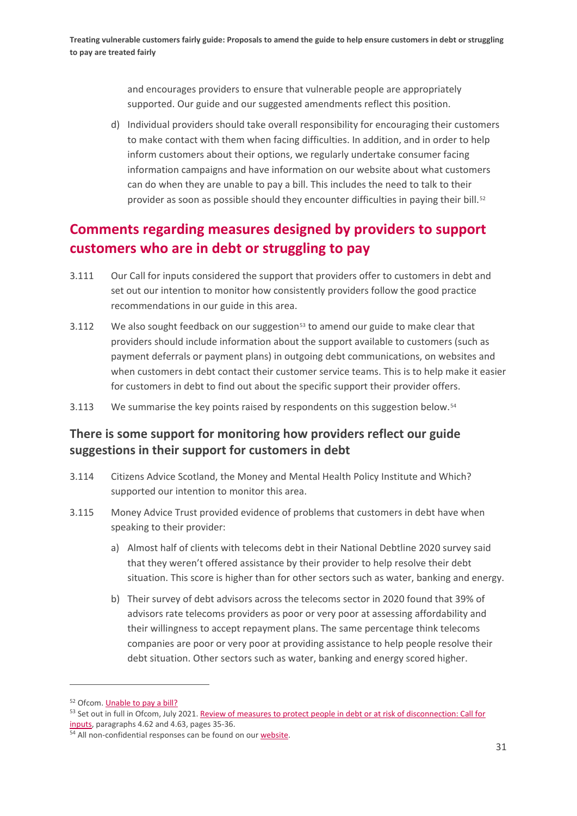and encourages providers to ensure that vulnerable people are appropriately supported. Our guide and our suggested amendments reflect this position.

d) Individual providers should take overall responsibility for encouraging their customers to make contact with them when facing difficulties. In addition, and in order to help inform customers about their options, we regularly undertake consumer facing information campaigns and have information on our website about what customers can do when they are unable to pay a bill. This includes the need to talk to their provider as soon as possible should they encounter difficulties in paying their bill.<sup>[52](#page-32-0)</sup>

# **Comments regarding measures designed by providers to support customers who are in debt or struggling to pay**

- 3.111 Our Call for inputs considered the support that providers offer to customers in debt and set out our intention to monitor how consistently providers follow the good practice recommendations in our guide in this area.
- $3.112$  We also sought feedback on our suggestion<sup>[53](#page-32-1)</sup> to amend our guide to make clear that providers should include information about the support available to customers (such as payment deferrals or payment plans) in outgoing debt communications, on websites and when customers in debt contact their customer service teams. This is to help make it easier for customers in debt to find out about the specific support their provider offers.
- 3.113 We summarise the key points raised by respondents on this suggestion below.<sup>[54](#page-32-2)</sup>

## **There is some support for monitoring how providers reflect our guide suggestions in their support for customers in debt**

- 3.114 Citizens Advice Scotland, the Money and Mental Health Policy Institute and Which? supported our intention to monitor this area.
- 3.115 Money Advice Trust provided evidence of problems that customers in debt have when speaking to their provider:
	- a) Almost half of clients with telecoms debt in their National Debtline 2020 survey said that they weren't offered assistance by their provider to help resolve their debt situation. This score is higher than for other sectors such as water, banking and energy.
	- b) Their survey of debt advisors across the telecoms sector in 2020 found that 39% of advisors rate telecoms providers as poor or very poor at assessing affordability and their willingness to accept repayment plans. The same percentage think telecoms companies are poor or very poor at providing assistance to help people resolve their debt situation. Other sectors such as water, banking and energy scored higher.

<span id="page-32-0"></span><sup>52</sup> Ofcom. **Unable to pay a bill?** 

<span id="page-32-1"></span><sup>53</sup> Set out in full in Ofcom, July 2021. Review of measures to protect people in debt or at risk of disconnection: Call for [inputs,](https://www.ofcom.org.uk/__data/assets/pdf_file/0012/222321/review-of-measures-to-protect-people-debt-or-risk-of-disconnection.pdf) paragraphs 4.62 and 4.63, pages 35-36.

<span id="page-32-2"></span><sup>&</sup>lt;sup>54</sup> All non-confidential responses can be found on our [website.](https://www.ofcom.org.uk/consultations-and-statements/category-1/call-for-inputs-review-of-measures-to-protect-people-in-debt-or-at-risk-of-disconnection)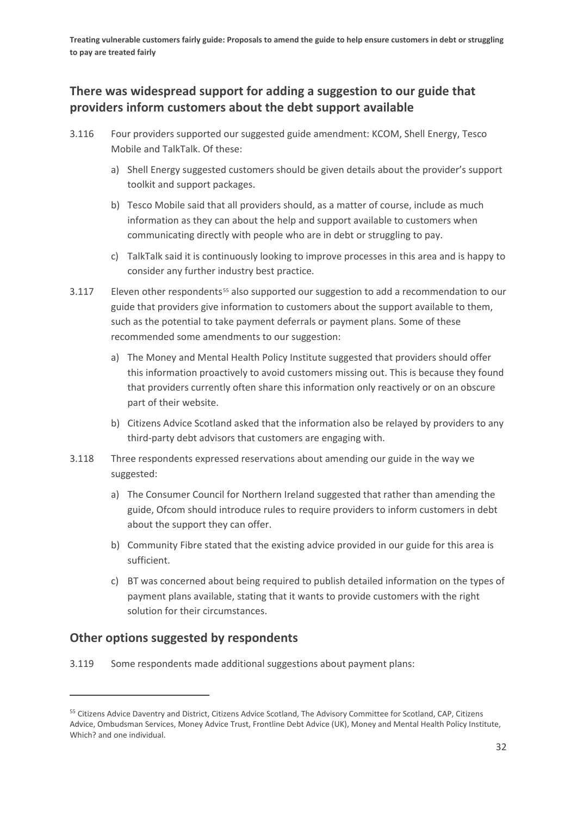## **There was widespread support for adding a suggestion to our guide that providers inform customers about the debt support available**

- 3.116 Four providers supported our suggested guide amendment: KCOM, Shell Energy, Tesco Mobile and TalkTalk. Of these:
	- a) Shell Energy suggested customers should be given details about the provider's support toolkit and support packages.
	- b) Tesco Mobile said that all providers should, as a matter of course, include as much information as they can about the help and support available to customers when communicating directly with people who are in debt or struggling to pay.
	- c) TalkTalk said it is continuously looking to improve processes in this area and is happy to consider any further industry best practice.
- 3.117 Eleven other respondents<sup>[55](#page-33-0)</sup> also supported our suggestion to add a recommendation to our guide that providers give information to customers about the support available to them, such as the potential to take payment deferrals or payment plans. Some of these recommended some amendments to our suggestion:
	- a) The Money and Mental Health Policy Institute suggested that providers should offer this information proactively to avoid customers missing out. This is because they found that providers currently often share this information only reactively or on an obscure part of their website.
	- b) Citizens Advice Scotland asked that the information also be relayed by providers to any third-party debt advisors that customers are engaging with.
- 3.118 Three respondents expressed reservations about amending our guide in the way we suggested:
	- a) The Consumer Council for Northern Ireland suggested that rather than amending the guide, Ofcom should introduce rules to require providers to inform customers in debt about the support they can offer.
	- b) Community Fibre stated that the existing advice provided in our guide for this area is sufficient.
	- c) BT was concerned about being required to publish detailed information on the types of payment plans available, stating that it wants to provide customers with the right solution for their circumstances.

## **Other options suggested by respondents**

3.119 Some respondents made additional suggestions about payment plans:

<span id="page-33-0"></span><sup>&</sup>lt;sup>55</sup> Citizens Advice Daventry and District, Citizens Advice Scotland, The Advisory Committee for Scotland, CAP, Citizens Advice, Ombudsman Services, Money Advice Trust, Frontline Debt Advice (UK), Money and Mental Health Policy Institute, Which? and one individual.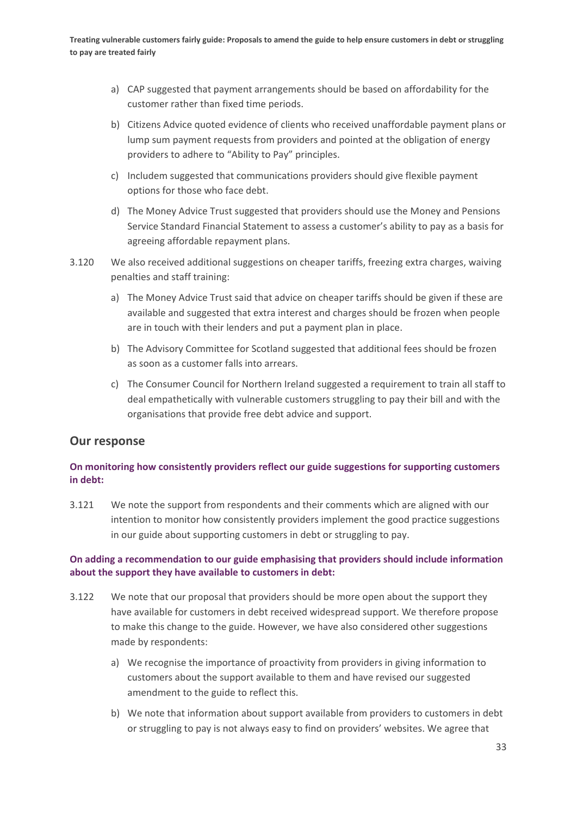- a) CAP suggested that payment arrangements should be based on affordability for the customer rather than fixed time periods.
- b) Citizens Advice quoted evidence of clients who received unaffordable payment plans or lump sum payment requests from providers and pointed at the obligation of energy providers to adhere to "Ability to Pay" principles.
- c) Includem suggested that communications providers should give flexible payment options for those who face debt.
- d) The Money Advice Trust suggested that providers should use the Money and Pensions Service Standard Financial Statement to assess a customer's ability to pay as a basis for agreeing affordable repayment plans.
- 3.120 We also received additional suggestions on cheaper tariffs, freezing extra charges, waiving penalties and staff training:
	- a) The Money Advice Trust said that advice on cheaper tariffs should be given if these are available and suggested that extra interest and charges should be frozen when people are in touch with their lenders and put a payment plan in place.
	- b) The Advisory Committee for Scotland suggested that additional fees should be frozen as soon as a customer falls into arrears.
	- c) The Consumer Council for Northern Ireland suggested a requirement to train all staff to deal empathetically with vulnerable customers struggling to pay their bill and with the organisations that provide free debt advice and support.

## **Our response**

### **On monitoring how consistently providers reflect our guide suggestions for supporting customers in debt:**

3.121 We note the support from respondents and their comments which are aligned with our intention to monitor how consistently providers implement the good practice suggestions in our guide about supporting customers in debt or struggling to pay.

### **On adding a recommendation to our guide emphasising that providers should include information about the support they have available to customers in debt:**

- 3.122 We note that our proposal that providers should be more open about the support they have available for customers in debt received widespread support. We therefore propose to make this change to the guide. However, we have also considered other suggestions made by respondents:
	- a) We recognise the importance of proactivity from providers in giving information to customers about the support available to them and have revised our suggested amendment to the guide to reflect this.
	- b) We note that information about support available from providers to customers in debt or struggling to pay is not always easy to find on providers' websites. We agree that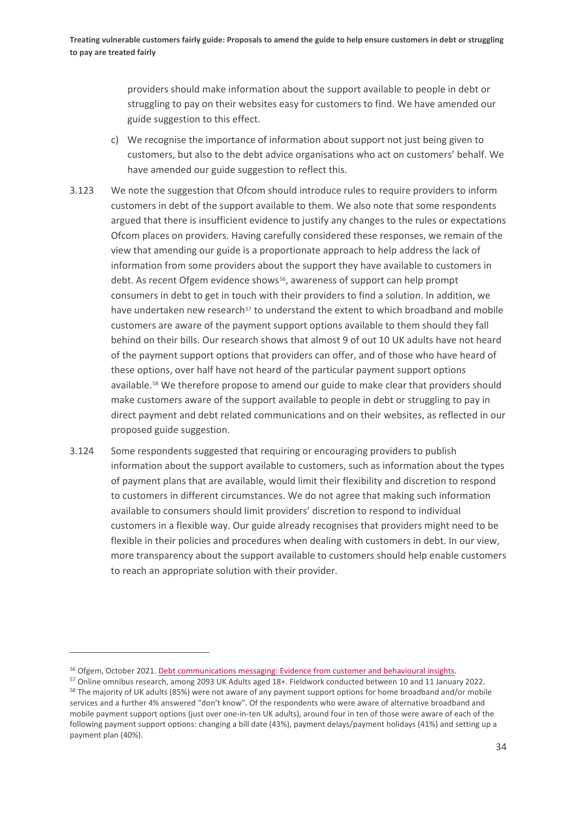providers should make information about the support available to people in debt or struggling to pay on their websites easy for customers to find. We have amended our guide suggestion to this effect.

- c) We recognise the importance of information about support not just being given to customers, but also to the debt advice organisations who act on customers' behalf. We have amended our guide suggestion to reflect this.
- 3.123 We note the suggestion that Ofcom should introduce rules to require providers to inform customers in debt of the support available to them. We also note that some respondents argued that there is insufficient evidence to justify any changes to the rules or expectations Ofcom places on providers. Having carefully considered these responses, we remain of the view that amending our guide is a proportionate approach to help address the lack of information from some providers about the support they have available to customers in debt. As recent Ofgem evidence shows<sup>56</sup>, awareness of support can help prompt consumers in debt to get in touch with their providers to find a solution. In addition, we have undertaken new research<sup>[57](#page-35-1)</sup> to understand the extent to which broadband and mobile customers are aware of the payment support options available to them should they fall behind on their bills. Our research shows that almost 9 of out 10 UK adults have not heard of the payment support options that providers can offer, and of those who have heard of these options, over half have not heard of the particular payment support options available.<sup>[58](#page-35-2)</sup> We therefore propose to amend our guide to make clear that providers should make customers aware of the support available to people in debt or struggling to pay in direct payment and debt related communications and on their websites, as reflected in our proposed guide suggestion.
- 3.124 Some respondents suggested that requiring or encouraging providers to publish information about the support available to customers, such as information about the types of payment plans that are available, would limit their flexibility and discretion to respond to customers in different circumstances. We do not agree that making such information available to consumers should limit providers' discretion to respond to individual customers in a flexible way. Our guide already recognises that providers might need to be flexible in their policies and procedures when dealing with customers in debt. In our view, more transparency about the support available to customers should help enable customers to reach an appropriate solution with their provider.

<span id="page-35-0"></span><sup>&</sup>lt;sup>56</sup> Ofgem, October 2021[. Debt communications messaging: Evidence from customer and behavioural insights.](https://www.ofgem.gov.uk/publications/debt-communications-messaging-evidence-customer-and-behavioural-insights)

<span id="page-35-2"></span><span id="page-35-1"></span><sup>57</sup> Online omnibus research, among 2093 UK Adults aged 18+. Fieldwork conducted between 10 and 11 January 2022. <sup>58</sup> The majority of UK adults (85%) were not aware of any payment support options for home broadband and/or mobile services and a further 4% answered "don't know". Of the respondents who were aware of alternative broadband and mobile payment support options (just over one-in-ten UK adults), around four in ten of those were aware of each of the following payment support options: changing a bill date (43%), payment delays/payment holidays (41%) and setting up a payment plan (40%).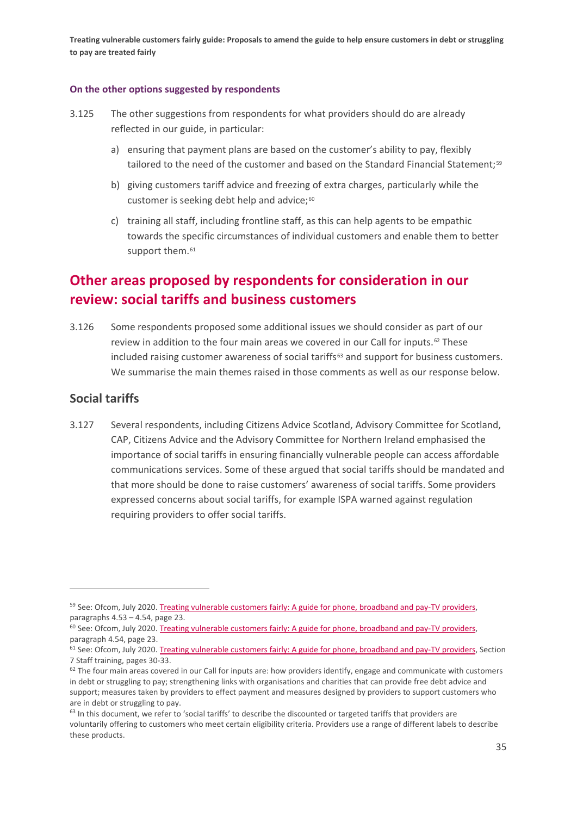#### **On the other options suggested by respondents**

- 3.125 The other suggestions from respondents for what providers should do are already reflected in our guide, in particular:
	- a) ensuring that payment plans are based on the customer's ability to pay, flexibly tailored to the need of the customer and based on the Standard Financial Statement;<sup>[59](#page-36-0)</sup>
	- b) giving customers tariff advice and freezing of extra charges, particularly while the customer is seeking debt help and advice;<sup>[60](#page-36-1)</sup>
	- c) training all staff, including frontline staff, as this can help agents to be empathic towards the specific circumstances of individual customers and enable them to better support them.<sup>[61](#page-36-2)</sup>

# **Other areas proposed by respondents for consideration in our review: social tariffs and business customers**

3.126 Some respondents proposed some additional issues we should consider as part of our review in addition to the four main areas we covered in our Call for inputs.[62](#page-36-3) These included raising customer awareness of social tariffs $63$  and support for business customers. We summarise the main themes raised in those comments as well as our response below.

## **Social tariffs**

3.127 Several respondents, including Citizens Advice Scotland, Advisory Committee for Scotland, CAP, Citizens Advice and the Advisory Committee for Northern Ireland emphasised the importance of social tariffs in ensuring financially vulnerable people can access affordable communications services. Some of these argued that social tariffs should be mandated and that more should be done to raise customers' awareness of social tariffs. Some providers expressed concerns about social tariffs, for example ISPA warned against regulation requiring providers to offer social tariffs.

<span id="page-36-0"></span><sup>&</sup>lt;sup>59</sup> See: Ofcom, July 2020. Treating vulnerable customers fairly: [A guide for phone, broadband and pay-TV providers,](https://www.ofcom.org.uk/__data/assets/pdf_file/0034/198763/treating-vulnerable-customer-fairly-guide.pdf) paragraphs 4.53 – 4.54, page 23.

<span id="page-36-1"></span><sup>&</sup>lt;sup>60</sup> See: Ofcom, July 2020. Treating vulnerable customers fairly: [A guide for phone, broadband and pay-TV providers,](https://www.ofcom.org.uk/__data/assets/pdf_file/0034/198763/treating-vulnerable-customer-fairly-guide.pdf) paragraph 4.54, page 23.

<span id="page-36-2"></span> $61$  See: Ofcom, July 2020. Treating vulnerable customers fairly: [A guide for phone, broadband and pay-TV providers,](https://www.ofcom.org.uk/__data/assets/pdf_file/0034/198763/treating-vulnerable-customer-fairly-guide.pdf) Section 7 Staff training, pages 30-33.

<span id="page-36-3"></span> $62$  The four main areas covered in our Call for inputs are: how providers identify, engage and communicate with customers in debt or struggling to pay; strengthening links with organisations and charities that can provide free debt advice and support; measures taken by providers to effect payment and measures designed by providers to support customers who are in debt or struggling to pay.

<span id="page-36-4"></span><sup>&</sup>lt;sup>63</sup> In this document, we refer to 'social tariffs' to describe the discounted or targeted tariffs that providers are voluntarily offering to customers who meet certain eligibility criteria. Providers use a range of different labels to describe these products.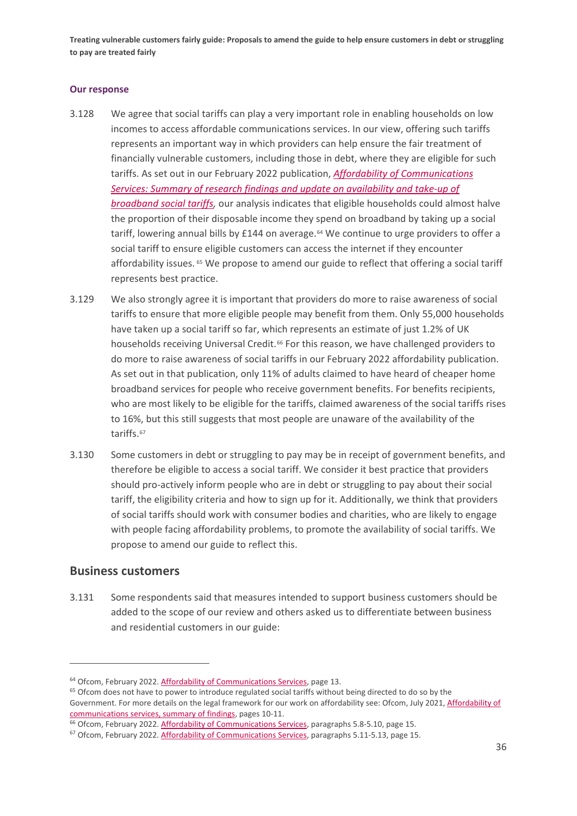#### **Our response**

- 3.128 We agree that social tariffs can play a very important role in enabling households on low incomes to access affordable communications services. In our view, offering such tariffs represents an important way in which providers can help ensure the fair treatment of financially vulnerable customers, including those in debt, where they are eligible for such tariffs. As set out in our February 2022 publication, *[Affordability of Communications](https://www.ofcom.org.uk/__data/assets/pdf_file/0016/232522/Affordability-of-Communications-Services.pdf)  [Services: Summary of research findings and update on availability and take-up of](https://www.ofcom.org.uk/__data/assets/pdf_file/0016/232522/Affordability-of-Communications-Services.pdf)  [broadband social tariffs,](https://www.ofcom.org.uk/__data/assets/pdf_file/0016/232522/Affordability-of-Communications-Services.pdf)* our analysis indicates that eligible households could almost halve the proportion of their disposable income they spend on broadband by taking up a social tariff, lowering annual bills by £144 on average.<sup>[64](#page-37-0)</sup> We continue to urge providers to offer a social tariff to ensure eligible customers can access the internet if they encounter affordability issues. <sup>[65](#page-37-1)</sup> We propose to amend our guide to reflect that offering a social tariff represents best practice.
- 3.129 We also strongly agree it is important that providers do more to raise awareness of social tariffs to ensure that more eligible people may benefit from them. Only 55,000 households have taken up a social tariff so far, which represents an estimate of just 1.2% of UK households receiving Universal Credit.<sup>[66](#page-37-2)</sup> For this reason, we have challenged providers to do more to raise awareness of social tariffs in our February 2022 affordability publication. As set out in that publication, only 11% of adults claimed to have heard of cheaper home broadband services for people who receive government benefits. For benefits recipients, who are most likely to be eligible for the tariffs, claimed awareness of the social tariffs rises to 16%, but this still suggests that most people are unaware of the availability of the tariffs.<sup>[67](#page-37-3)</sup>
- 3.130 Some customers in debt or struggling to pay may be in receipt of government benefits, and therefore be eligible to access a social tariff. We consider it best practice that providers should pro-actively inform people who are in debt or struggling to pay about their social tariff, the eligibility criteria and how to sign up for it. Additionally, we think that providers of social tariffs should work with consumer bodies and charities, who are likely to engage with people facing affordability problems, to promote the availability of social tariffs. We propose to amend our guide to reflect this.

## **Business customers**

3.131 Some respondents said that measures intended to support business customers should be added to the scope of our review and others asked us to differentiate between business and residential customers in our guide:

<span id="page-37-1"></span><span id="page-37-0"></span> $64$  Ofcom, February 2022[. Affordability of Communications Services,](https://www.ofcom.org.uk/__data/assets/pdf_file/0016/232522/Affordability-of-Communications-Services.pdf) page 13.<br><sup>65</sup> Ofcom does not have to power to introduce regulated social tariffs without being directed to do so by the Government. For more details on the legal framework for our work on affordability see: Ofcom, July 2021, Affordability of [communications services, summary of findings,](https://www.ofcom.org.uk/__data/assets/pdf_file/0015/222324/affordability-of-communications-services-summary.pdf) pages 10-11.<br><sup>66</sup> Ofcom, February 2022[. Affordability of Communications Services,](https://www.ofcom.org.uk/__data/assets/pdf_file/0016/232522/Affordability-of-Communications-Services.pdf) paragraphs 5.8-5.10, page 15.

<span id="page-37-2"></span>

<span id="page-37-3"></span><sup>&</sup>lt;sup>67</sup> Ofcom, February 2022[. Affordability of Communications Services,](https://www.ofcom.org.uk/__data/assets/pdf_file/0016/232522/Affordability-of-Communications-Services.pdf) paragraphs 5.11-5.13, page 15.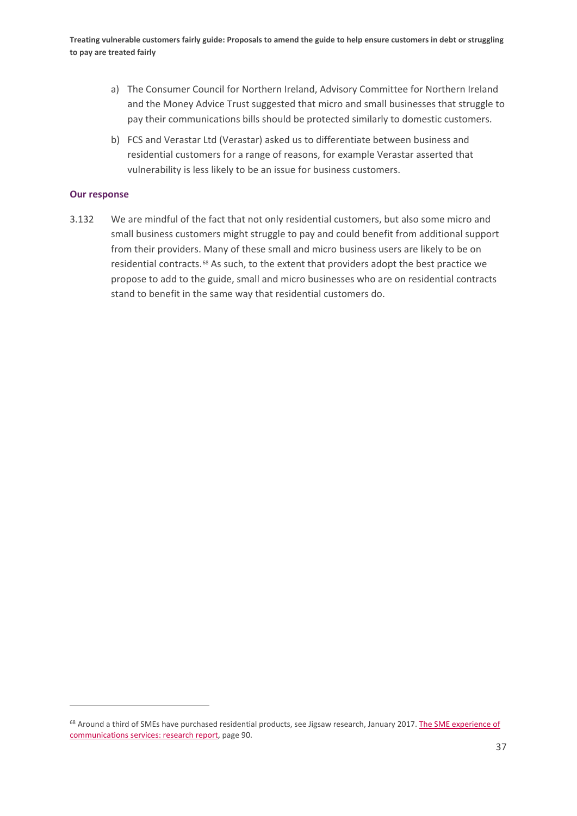- a) The Consumer Council for Northern Ireland, Advisory Committee for Northern Ireland and the Money Advice Trust suggested that micro and small businesses that struggle to pay their communications bills should be protected similarly to domestic customers.
- b) FCS and Verastar Ltd (Verastar) asked us to differentiate between business and residential customers for a range of reasons, for example Verastar asserted that vulnerability is less likely to be an issue for business customers.

#### **Our response**

3.132 We are mindful of the fact that not only residential customers, but also some micro and small business customers might struggle to pay and could benefit from additional support from their providers. Many of these small and micro business users are likely to be on residential contracts.[68](#page-38-0) As such, to the extent that providers adopt the best practice we propose to add to the guide, small and micro businesses who are on residential contracts stand to benefit in the same way that residential customers do.

<span id="page-38-0"></span><sup>68</sup> Around a third of SMEs have purchased residential products, see Jigsaw research, January 2017. The SME experience of [communications services: research report,](https://www.ofcom.org.uk/__data/assets/pdf_file/0030/96348/Ofcom-SME-consumer-experience-research-2016-Report.pdf) page 90.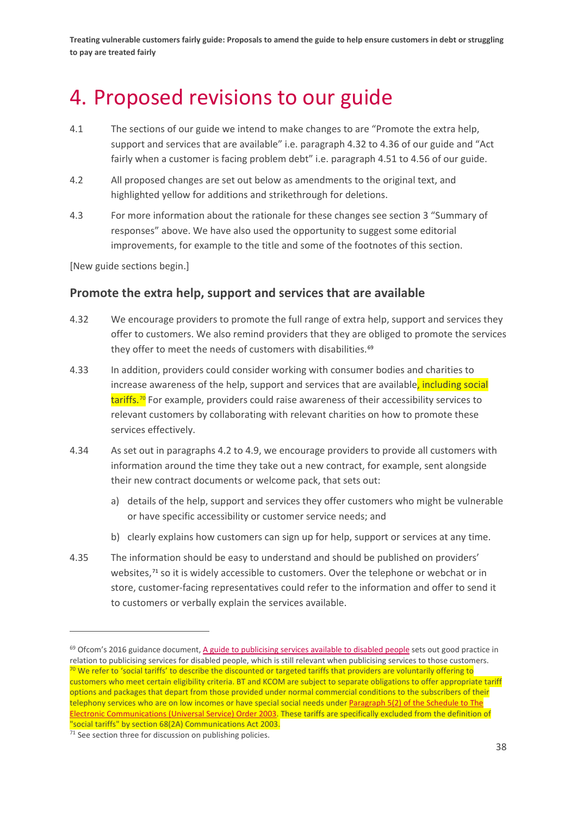# <span id="page-39-0"></span>4. Proposed revisions to our guide

- 4.1 The sections of our guide we intend to make changes to are "Promote the extra help, support and services that are available" i.e. paragraph 4.32 to 4.36 of our guide and "Act fairly when a customer is facing problem debt" i.e. paragraph 4.51 to 4.56 of our guide.
- 4.2 All proposed changes are set out below as amendments to the original text, and highlighted yellow for additions and strikethrough for deletions.
- 4.3 For more information about the rationale for these changes see section 3 "Summary of responses" above. We have also used the opportunity to suggest some editorial improvements, for example to the title and some of the footnotes of this section.

[New guide sections begin.]

## **Promote the extra help, support and services that are available**

- 4.32 We encourage providers to promote the full range of extra help, support and services they offer to customers. We also remind providers that they are obliged to promote the services they offer to meet the needs of customers with disabilities.<sup>[69](#page-39-1)</sup>
- 4.33 In addition, providers could consider working with consumer bodies and charities to increase awareness of the help, support and services that are available, including social tariffs.<sup>[70](#page-39-2)</sup> For example, providers could raise awareness of their accessibility services to relevant customers by collaborating with relevant charities on how to promote these services effectively.
- 4.34 As set out in paragraphs 4.2 to 4.9, we encourage providers to provide all customers with information around the time they take out a new contract, for example, sent alongside their new contract documents or welcome pack, that sets out:
	- a) details of the help, support and services they offer customers who might be vulnerable or have specific accessibility or customer service needs; and
	- b) clearly explains how customers can sign up for help, support or services at any time.
- 4.35 The information should be easy to understand and should be published on providers' websites,<sup>[71](#page-39-3)</sup> so it is widely accessible to customers. Over the telephone or webchat or in store, customer-facing representatives could refer to the information and offer to send it to customers or verbally explain the services available.

<span id="page-39-2"></span><span id="page-39-1"></span> $69$  Ofcom's 2016 guidance document[, A guide to publicising services available to disabled people](https://www.ofcom.org.uk/__data/assets/pdf_file/0015/81132/guidance.pdf) sets out good practice in relation to publicising services for disabled people, which is still relevant when publicising services to those customers. <sup>70</sup> We refer to 'social tariffs' to describe the discounted or targeted tariffs that providers are voluntarily offering to customers who meet certain eligibility criteria. BT and KCOM are subject to separate obligations to offer appropriate tariff options and packages that depart from those provided under normal commercial conditions to the subscribers of their telephony services who are on low incomes or have special social needs under Paragraph 5(2) of the Schedule to The [Electronic Communications \(Universal Service\) Order 2003.](https://www.legislation.gov.uk/uksi/2003/1904/contents/made) These tariffs are specifically excluded from the definition of "social tariffs" by section 68(2A) Communications Act 2003.<br><sup>71</sup> See section three for discussion on publishing policies.

<span id="page-39-3"></span>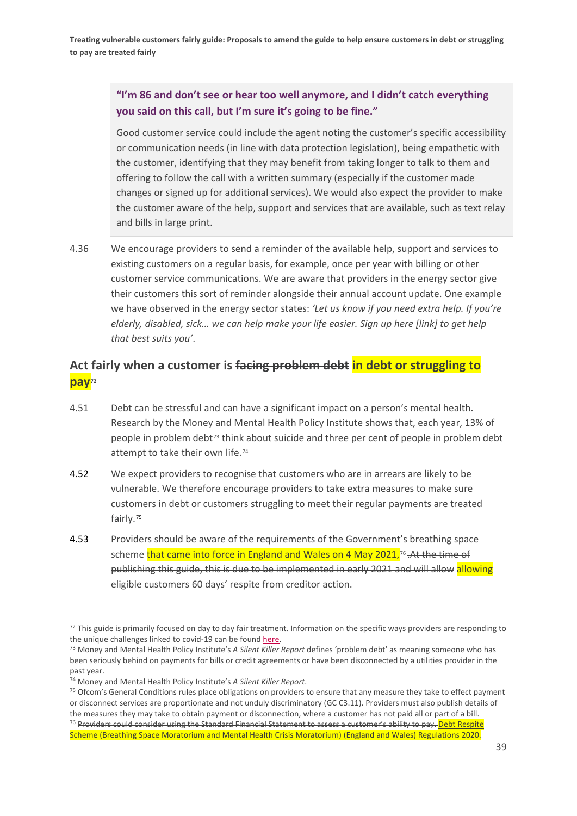## **"I'm 86 and don't see or hear too well anymore, and I didn't catch everything you said on this call, but I'm sure it's going to be fine."**

Good customer service could include the agent noting the customer's specific accessibility or communication needs (in line with data protection legislation), being empathetic with the customer, identifying that they may benefit from taking longer to talk to them and offering to follow the call with a written summary (especially if the customer made changes or signed up for additional services). We would also expect the provider to make the customer aware of the help, support and services that are available, such as text relay and bills in large print.

4.36 We encourage providers to send a reminder of the available help, support and services to existing customers on a regular basis, for example, once per year with billing or other customer service communications. We are aware that providers in the energy sector give their customers this sort of reminder alongside their annual account update. One example we have observed in the energy sector states: *'Let us know if you need extra help. If you're elderly, disabled, sick… we can help make your life easier. Sign up here [link] to get help that best suits you'*.

## **Act fairly when a customer is facing problem debt in debt or struggling to pay[72](#page-40-0)**

- 4.51 Debt can be stressful and can have a significant impact on a person's mental health. Research by the Money and Mental Health Policy Institute shows that, each year, 13% of people in problem debt<sup>[73](#page-40-1)</sup> think about suicide and three per cent of people in problem debt attempt to take their own life.<sup>[74](#page-40-2)</sup>
- 4.52 We expect providers to recognise that customers who are in arrears are likely to be vulnerable. We therefore encourage providers to take extra measures to make sure customers in debt or customers struggling to meet their regular payments are treated fairly.[75](#page-40-3)
- 4.53 Providers should be aware of the requirements of the Government's breathing space scheme that came into force in England and Wales on 4 May 2021,<sup>[76](#page-40-4)</sup> . At the time of publishing this guide, this is due to be implemented in early 2021 and will allow allowing eligible customers 60 days' respite from creditor action.

<span id="page-40-0"></span> $72$  This guide is primarily focused on day to day fair treatment. Information on the specific ways providers are responding to the unique challenges linked to covid-19 can be foun[d here.](https://www.ofcom.org.uk/about-ofcom/latest/features-and-news/support-for-customers-struggling-to-pay-their-bills-during-pandemic)

<span id="page-40-1"></span><sup>73</sup> Money and Mental Health Policy Institute's *A Silent Killer Report* defines 'problem debt' as meaning someone who has been seriously behind on payments for bills or credit agreements or have been disconnected by a utilities provider in the past year.

<span id="page-40-4"></span><span id="page-40-3"></span><span id="page-40-2"></span><sup>&</sup>lt;sup>74</sup> Money and Mental Health Policy Institute's *A Silent Killer Report*.<br><sup>75</sup> Ofcom's General Conditions rules place obligations on providers to ensure that any measure they take to effect payment or disconnect services are proportionate and not unduly discriminatory (GC C3.11). Providers must also publish details of the measures they may take to obtain payment or disconnection, where a customer has not paid all or part of a bill. <sup>76</sup> Providers could consider using th[e Standard Financial Statement](https://sfs.moneyadviceservice.org.uk/en/what-is-the-standard-financial-statement) to assess a customer's ability to pay. Debt Respite [Scheme \(Breathing Space Moratorium and Mental Health Crisis Moratorium\) \(England and Wales\) Regulations 2020.](https://www.legislation.gov.uk/uksi/2020/1311/contents/made)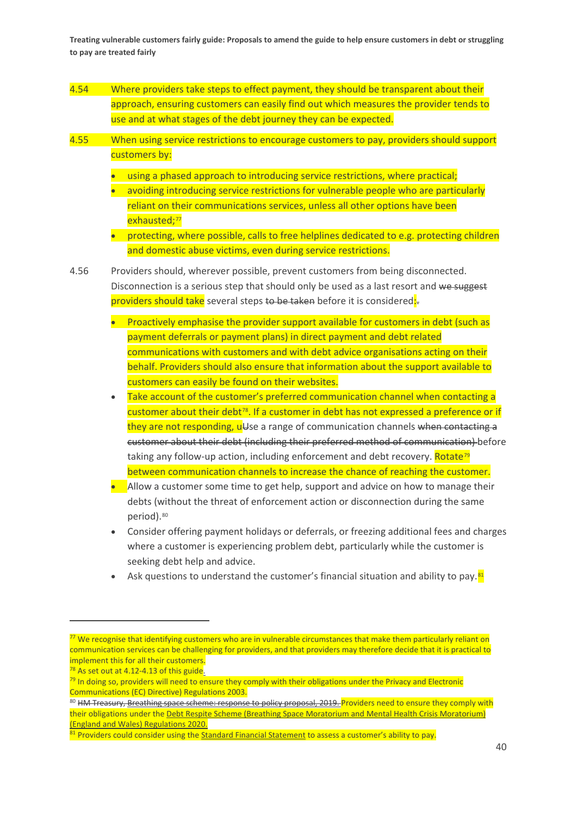- 4.54 Where providers take steps to effect payment, they should be transparent about their approach, ensuring customers can easily find out which measures the provider tends to use and at what stages of the debt journey they can be expected.
- 4.55 When using service restrictions to encourage customers to pay, providers should support customers by:
	- using a phased approach to introducing service restrictions, where practical:
	- avoiding introducing service restrictions for vulnerable people who are particularly reliant on their communications services, unless all other options have been exhausted:<sup>[77](#page-41-0)</sup>
	- protecting, where possible, calls to free helplines dedicated to e.g. protecting children and domestic abuse victims, even during service restrictions.
- 4.56 Providers should, wherever possible, prevent customers from being disconnected. Disconnection is a serious step that should only be used as a last resort and we suggest providers should take several steps to be taken before it is considered:
	- Proactively emphasise the provider support available for customers in debt (such as payment deferrals or payment plans) in direct payment and debt related communications with customers and with debt advice organisations acting on their behalf. Providers should also ensure that information about the support available to customers can easily be found on their websites.
	- Take account of the customer's preferred communication channel when contacting a customer about their debt<sup>[78](#page-41-1)</sup>. If a customer in debt has not expressed a preference or if they are not responding, u<sup>U</sup>se a range of communication channels when contacting a customer about their debt (including their preferred method of communication) before taking any follow-up action, including enforcement and debt recovery. Rotate<sup>[79](#page-41-2)</sup> between communication channels to increase the chance of reaching the customer.
	- Allow a customer some time to get help, support and advice on how to manage their debts (without the threat of enforcement action or disconnection during the same period).[80](#page-41-3)
	- Consider offering payment holidays or deferrals, or freezing additional fees and charges where a customer is experiencing problem debt, particularly while the customer is seeking debt help and advice.
	- Ask questions to understand the customer's financial situation and ability to pay.<sup>[81](#page-41-4)</sup>

<span id="page-41-0"></span><sup>&</sup>lt;sup>77</sup> We recognise that identifying customers who are in vulnerable circumstances that make them particularly reliant on communication services can be challenging for providers, and that providers may therefore decide that it is practical to implement this for all their customers.

<span id="page-41-1"></span> $78$  As set out at 4.12-4.13 of this guide.

<span id="page-41-2"></span><sup>&</sup>lt;sup>79</sup> In doing so, providers will need to ensure they comply with their obligations under the Privacy and Electronic Communications (EC) Directive) Regulations 2003.

<span id="page-41-3"></span><sup>80</sup> HM Treasury[, Breathing space scheme: response to policy proposal, 2019.](https://assets.publishing.service.gov.uk/government/uploads/system/uploads/attachment_data/file/810058/______17June_CLEAN_response.pdf) Providers need to ensure they comply with their obligations under the [Debt Respite Scheme \(Breathing Space Moratorium and Mental Health Crisis Moratorium\)](https://www.legislation.gov.uk/uksi/2020/1311/contents/made)  [\(England and Wales\) Regulations 2020.](https://www.legislation.gov.uk/uksi/2020/1311/contents/made)

<span id="page-41-4"></span> $81$  Providers could consider using th[e Standard Financial Statement](https://sfs.moneyadviceservice.org.uk/en/what-is-the-standard-financial-statement) to assess a customer's ability to pay.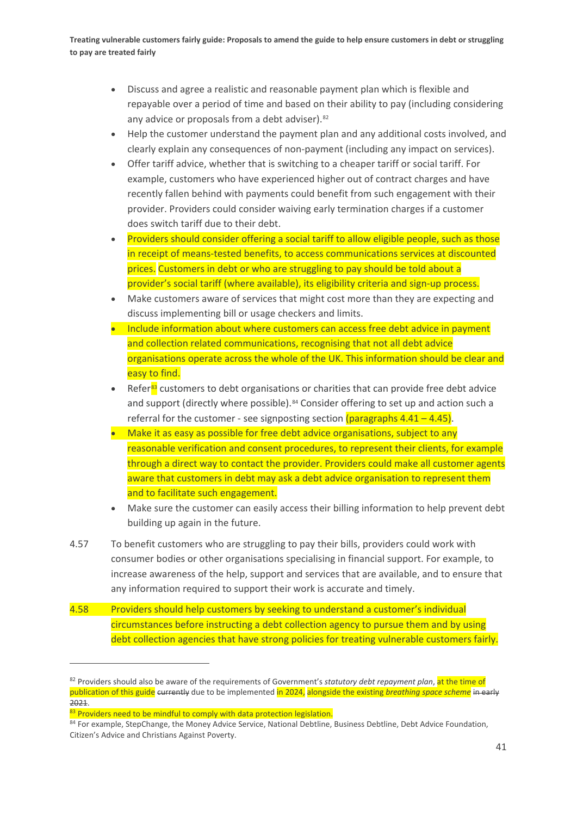- Discuss and agree a realistic and reasonable payment plan which is flexible and repayable over a period of time and based on their ability to pay (including considering any advice or proposals from a debt adviser).<sup>[82](#page-42-0)</sup>
- Help the customer understand the payment plan and any additional costs involved, and clearly explain any consequences of non-payment (including any impact on services).
- Offer tariff advice, whether that is switching to a cheaper tariff or social tariff. For example, customers who have experienced higher out of contract charges and have recently fallen behind with payments could benefit from such engagement with their provider. Providers could consider waiving early termination charges if a customer does switch tariff due to their debt.
- Providers should consider offering a social tariff to allow eligible people, such as those in receipt of means-tested benefits, to access communications services at discounted prices. Customers in debt or who are struggling to pay should be told about a provider's social tariff (where available), its eligibility criteria and sign-up process.
- Make customers aware of services that might cost more than they are expecting and discuss implementing bill or usage checkers and limits.
- Include information about where customers can access free debt advice in payment and collection related communications, recognising that not all debt advice organisations operate across the whole of the UK. This information should be clear and easy to find.
- Refer<sup>[83](#page-42-1)</sup> customers to debt organisations or charities that can provide free debt advice and support (directly where possible).<sup>[84](#page-42-2)</sup> Consider offering to set up and action such a referral for the customer - see signposting section (paragraphs  $4.41 - 4.45$ ).
- Make it as easy as possible for free debt advice organisations, subject to any reasonable verification and consent procedures, to represent their clients, for example through a direct way to contact the provider. Providers could make all customer agents aware that customers in debt may ask a debt advice organisation to represent them and to facilitate such engagement.
- Make sure the customer can easily access their billing information to help prevent debt building up again in the future.
- 4.57 To benefit customers who are struggling to pay their bills, providers could work with consumer bodies or other organisations specialising in financial support. For example, to increase awareness of the help, support and services that are available, and to ensure that any information required to support their work is accurate and timely.
- 4.58 Providers should help customers by seeking to understand a customer's individual circumstances before instructing a debt collection agency to pursue them and by using debt collection agencies that have strong policies for treating vulnerable customers fairly.

<span id="page-42-0"></span><sup>82</sup> Providers should also be aware of the requirements of Government's *statutory debt repayment plan*, at the time of publication of this guide currently due to be implemented in 2024, alongside the existing *breathing space scheme* in early 2021.

<span id="page-42-1"></span><sup>83</sup> Providers need to be mindful to comply with data protection legislation.

<span id="page-42-2"></span><sup>84</sup> For example, StepChange, the Money Advice Service, National Debtline, Business Debtline, Debt Advice Foundation, Citizen's Advice and Christians Against Poverty.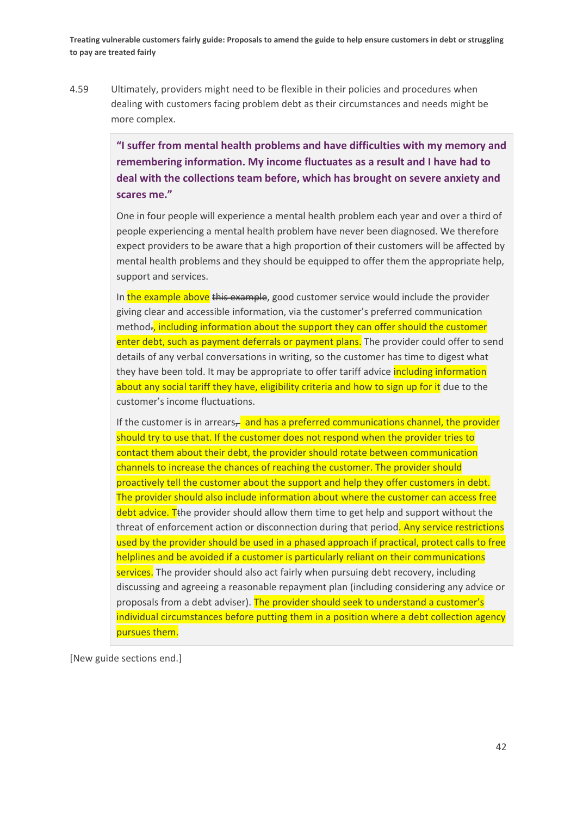4.59 Ultimately, providers might need to be flexible in their policies and procedures when dealing with customers facing problem debt as their circumstances and needs might be more complex.

> **"I suffer from mental health problems and have difficulties with my memory and remembering information. My income fluctuates as a result and I have had to deal with the collections team before, which has brought on severe anxiety and scares me."**

> One in four people will experience a mental health problem each year and over a third of people experiencing a mental health problem have never been diagnosed. We therefore expect providers to be aware that a high proportion of their customers will be affected by mental health problems and they should be equipped to offer them the appropriate help, support and services.

> In the example above this example, good customer service would include the provider giving clear and accessible information, via the customer's preferred communication method., including information about the support they can offer should the customer enter debt, such as payment deferrals or payment plans. The provider could offer to send details of any verbal conversations in writing, so the customer has time to digest what they have been told. It may be appropriate to offer tariff advice *including information* about any social tariff they have, eligibility criteria and how to sign up for it due to the customer's income fluctuations.

> If the customer is in arrears $\frac{1}{2}$  and has a preferred communications channel, the provider should try to use that. If the customer does not respond when the provider tries to contact them about their debt, the provider should rotate between communication channels to increase the chances of reaching the customer. The provider should proactively tell the customer about the support and help they offer customers in debt. The provider should also include information about where the customer can access free  $\frac{d}{dt}$  debt advice. T<sub>the</sub> provider should allow them time to get help and support without the threat of enforcement action or disconnection during that period. Any service restrictions used by the provider should be used in a phased approach if practical, protect calls to free helplines and be avoided if a customer is particularly reliant on their communications services. The provider should also act fairly when pursuing debt recovery, including discussing and agreeing a reasonable repayment plan (including considering any advice or proposals from a debt adviser). The provider should seek to understand a customer's individual circumstances before putting them in a position where a debt collection agency pursues them.

[New guide sections end.]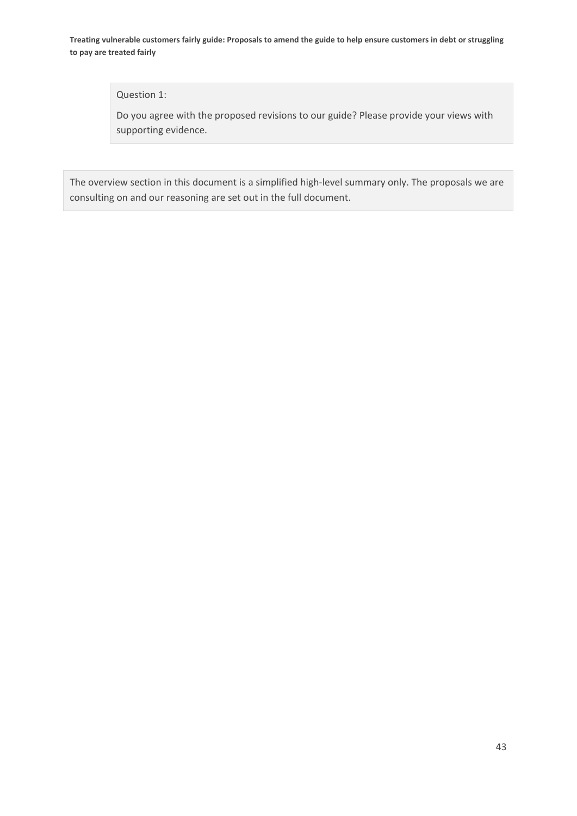#### Question 1:

Do you agree with the proposed revisions to our guide? Please provide your views with supporting evidence.

The overview section in this document is a simplified high-level summary only. The proposals we are consulting on and our reasoning are set out in the full document.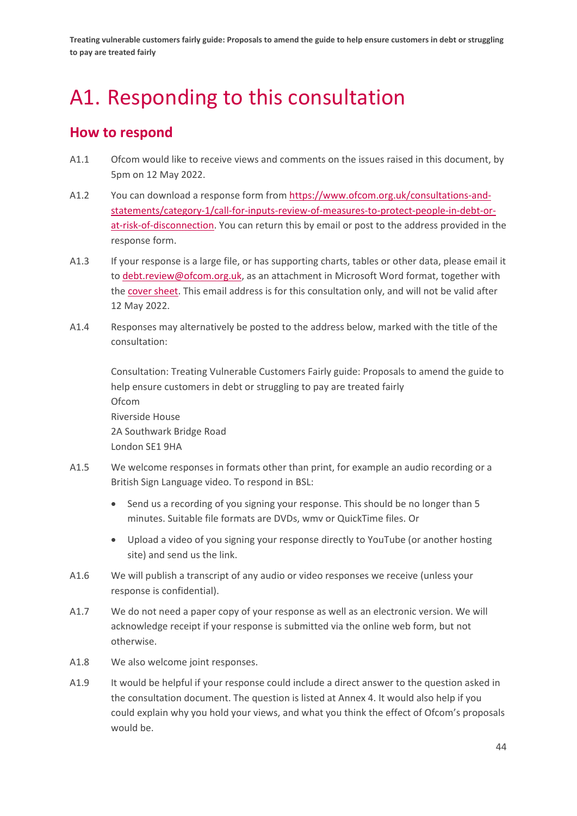# <span id="page-45-0"></span>A1. Responding to this consultation

## **How to respond**

- A1.1 Ofcom would like to receive views and comments on the issues raised in this document, by 5pm on 12 May 2022.
- A1.2 You can download a response form from [https://www.ofcom.org.uk/consultations-and](https://www.ofcom.org.uk/consultations-and-statements/category-1/call-for-inputs-review-of-measures-to-protect-people-in-debt-or-at-risk-of-disconnection)[statements/category-1/call-for-inputs-review-of-measures-to-protect-people-in-debt-or](https://www.ofcom.org.uk/consultations-and-statements/category-1/call-for-inputs-review-of-measures-to-protect-people-in-debt-or-at-risk-of-disconnection)[at-risk-of-disconnection.](https://www.ofcom.org.uk/consultations-and-statements/category-1/call-for-inputs-review-of-measures-to-protect-people-in-debt-or-at-risk-of-disconnection) You can return this by email or post to the address provided in the response form.
- A1.3 If your response is a large file, or has supporting charts, tables or other data, please email it to [debt.review@ofcom.org.uk,](mailto:debt.review@ofcom.org.uk) as an attachment in Microsoft Word format, together with the [cover sheet.](https://www.ofcom.org.uk/consultations-and-statements/consultation-response-coversheet) This email address is for this consultation only, and will not be valid after 12 May 2022.
- A1.4 Responses may alternatively be posted to the address below, marked with the title of the consultation:

Consultation: Treating Vulnerable Customers Fairly guide: Proposals to amend the guide to help ensure customers in debt or struggling to pay are treated fairly Ofcom Riverside House 2A Southwark Bridge Road London SE1 9HA

- A1.5 We welcome responses in formats other than print, for example an audio recording or a British Sign Language video. To respond in BSL:
	- Send us a recording of you signing your response. This should be no longer than 5 minutes. Suitable file formats are DVDs, wmv or QuickTime files. Or
	- Upload a video of you signing your response directly to YouTube (or another hosting site) and send us the link.
- A1.6 We will publish a transcript of any audio or video responses we receive (unless your response is confidential).
- A1.7 We do not need a paper copy of your response as well as an electronic version. We will acknowledge receipt if your response is submitted via the online web form, but not otherwise.
- A1.8 We also welcome joint responses.
- A1.9 It would be helpful if your response could include a direct answer to the question asked in the consultation document. The question is listed at Annex 4. It would also help if you could explain why you hold your views, and what you think the effect of Ofcom's proposals would be.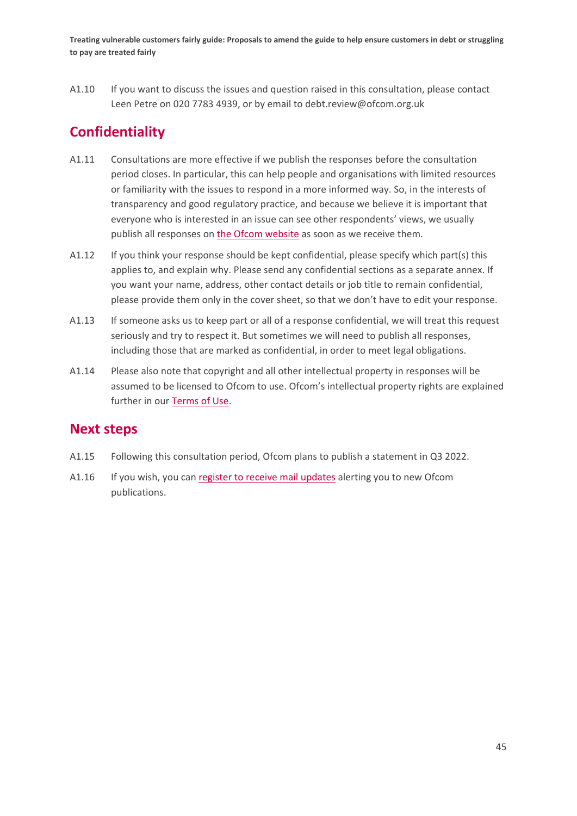A1.10 If you want to discuss the issues and question raised in this consultation, please contact Leen Petre on 020 7783 4939, or by email to debt.review@ofcom.org.uk

# **Confidentiality**

- A1.11 Consultations are more effective if we publish the responses before the consultation period closes. In particular, this can help people and organisations with limited resources or familiarity with the issues to respond in a more informed way. So, in the interests of transparency and good regulatory practice, and because we believe it is important that everyone who is interested in an issue can see other respondents' views, we usually publish all responses on [the Ofcom](http://www.ofcom.org.uk/) website as soon as we receive them.
- A1.12 If you think your response should be kept confidential, please specify which part(s) this applies to, and explain why. Please send any confidential sections as a separate annex. If you want your name, address, other contact details or job title to remain confidential, please provide them only in the cover sheet, so that we don't have to edit your response.
- A1.13 If someone asks us to keep part or all of a response confidential, we will treat this request seriously and try to respect it. But sometimes we will need to publish all responses, including those that are marked as confidential, in order to meet legal obligations.
- A1.14 Please also note that copyright and all other intellectual property in responses will be assumed to be licensed to Ofcom to use. Ofcom's intellectual property rights are explained further in our [Terms of Use.](https://www.ofcom.org.uk/about-ofcom/website/terms-of-use)

## **Next steps**

- A1.15 Following this consultation period, Ofcom plans to publish a statement in Q3 2022.
- A1.16 If you wish, you can [register to receive mail updates](https://www.ofcom.org.uk/about-ofcom/latest/email-updates) alerting you to new Ofcom publications.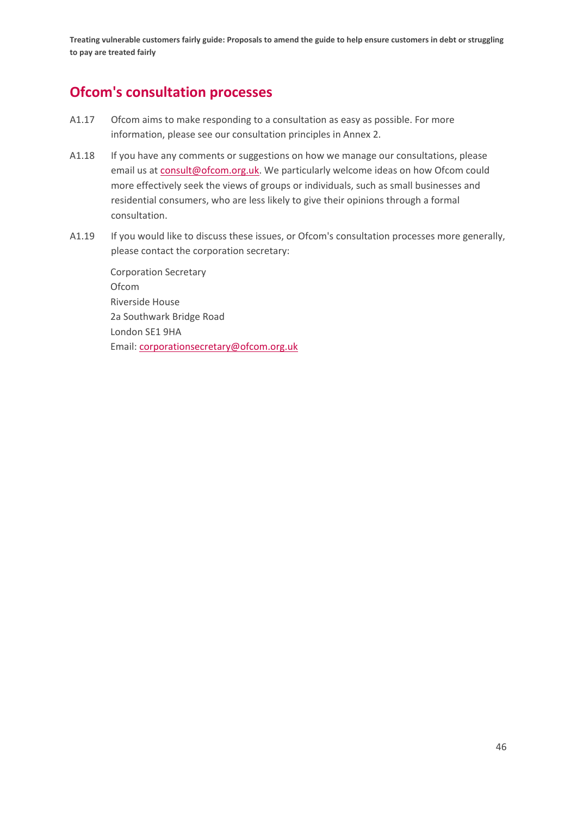# **Ofcom's consultation processes**

- A1.17 Ofcom aims to make responding to a consultation as easy as possible. For more information, please see our consultation principles in Annex 2.
- A1.18 If you have any comments or suggestions on how we manage our consultations, please email us a[t consult@ofcom.org.uk.](mailto:consult@ofcom.org.uk) We particularly welcome ideas on how Ofcom could more effectively seek the views of groups or individuals, such as small businesses and residential consumers, who are less likely to give their opinions through a formal consultation.
- A1.19 If you would like to discuss these issues, or Ofcom's consultation processes more generally, please contact the corporation secretary:

Corporation Secretary Ofcom Riverside House 2a Southwark Bridge Road London SE1 9HA Email: [corporationsecretary@ofcom.org.uk](mailto:corporationsecretary@ofcom.org.uk)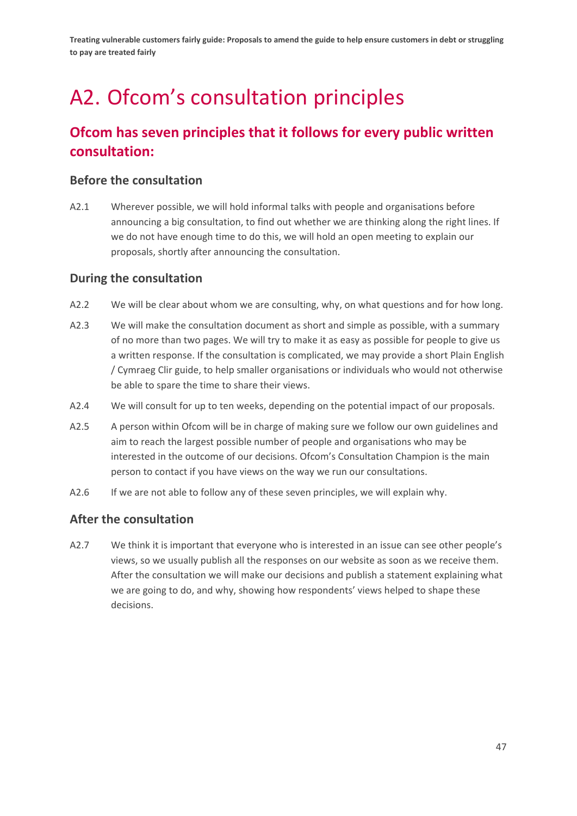# <span id="page-48-0"></span>A2. Ofcom's consultation principles

# **Ofcom has seven principles that it follows for every public written consultation:**

## **Before the consultation**

A2.1 Wherever possible, we will hold informal talks with people and organisations before announcing a big consultation, to find out whether we are thinking along the right lines. If we do not have enough time to do this, we will hold an open meeting to explain our proposals, shortly after announcing the consultation.

## **During the consultation**

- A2.2 We will be clear about whom we are consulting, why, on what questions and for how long.
- A2.3 We will make the consultation document as short and simple as possible, with a summary of no more than two pages. We will try to make it as easy as possible for people to give us a written response. If the consultation is complicated, we may provide a short Plain English / Cymraeg Clir guide, to help smaller organisations or individuals who would not otherwise be able to spare the time to share their views.
- A2.4 We will consult for up to ten weeks, depending on the potential impact of our proposals.
- A2.5 A person within Ofcom will be in charge of making sure we follow our own guidelines and aim to reach the largest possible number of people and organisations who may be interested in the outcome of our decisions. Ofcom's Consultation Champion is the main person to contact if you have views on the way we run our consultations.
- A2.6 If we are not able to follow any of these seven principles, we will explain why.

## **After the consultation**

A2.7 We think it is important that everyone who is interested in an issue can see other people's views, so we usually publish all the responses on our website as soon as we receive them. After the consultation we will make our decisions and publish a statement explaining what we are going to do, and why, showing how respondents' views helped to shape these decisions.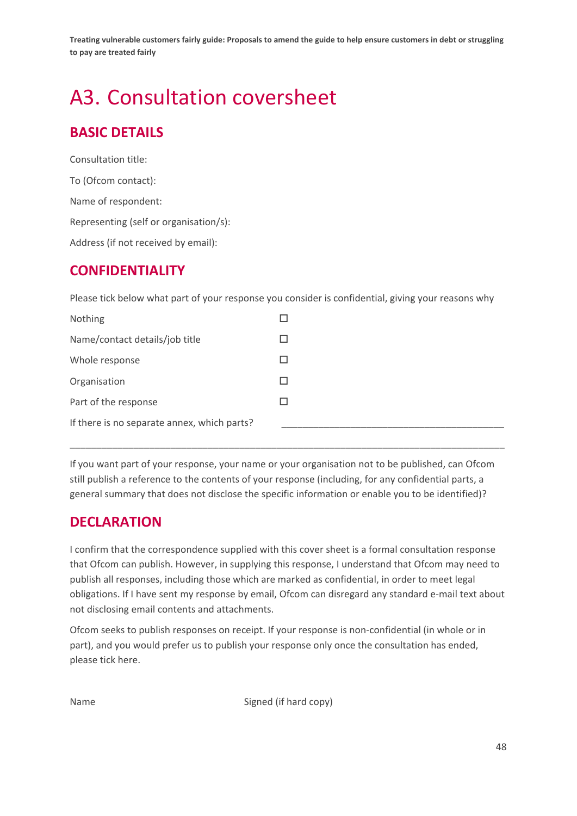# <span id="page-49-0"></span>A3. Consultation coversheet

# **BASIC DETAILS**

Consultation title: To (Ofcom contact): Name of respondent: Representing (self or organisation/s): Address (if not received by email):

# **CONFIDENTIALITY**

Please tick below what part of your response you consider is confidential, giving your reasons why

If you want part of your response, your name or your organisation not to be published, can Ofcom still publish a reference to the contents of your response (including, for any confidential parts, a general summary that does not disclose the specific information or enable you to be identified)?

\_\_\_\_\_\_\_\_\_\_\_\_\_\_\_\_\_\_\_\_\_\_\_\_\_\_\_\_\_\_\_\_\_\_\_\_\_\_\_\_\_\_\_\_\_\_\_\_\_\_\_\_\_\_\_\_\_\_\_\_\_\_\_\_\_\_\_\_\_\_\_\_\_\_\_\_\_\_\_\_\_\_

# **DECLARATION**

I confirm that the correspondence supplied with this cover sheet is a formal consultation response that Ofcom can publish. However, in supplying this response, I understand that Ofcom may need to publish all responses, including those which are marked as confidential, in order to meet legal obligations. If I have sent my response by email, Ofcom can disregard any standard e-mail text about not disclosing email contents and attachments.

Ofcom seeks to publish responses on receipt. If your response is non-confidential (in whole or in part), and you would prefer us to publish your response only once the consultation has ended, please tick here.

Name Signed (if hard copy)